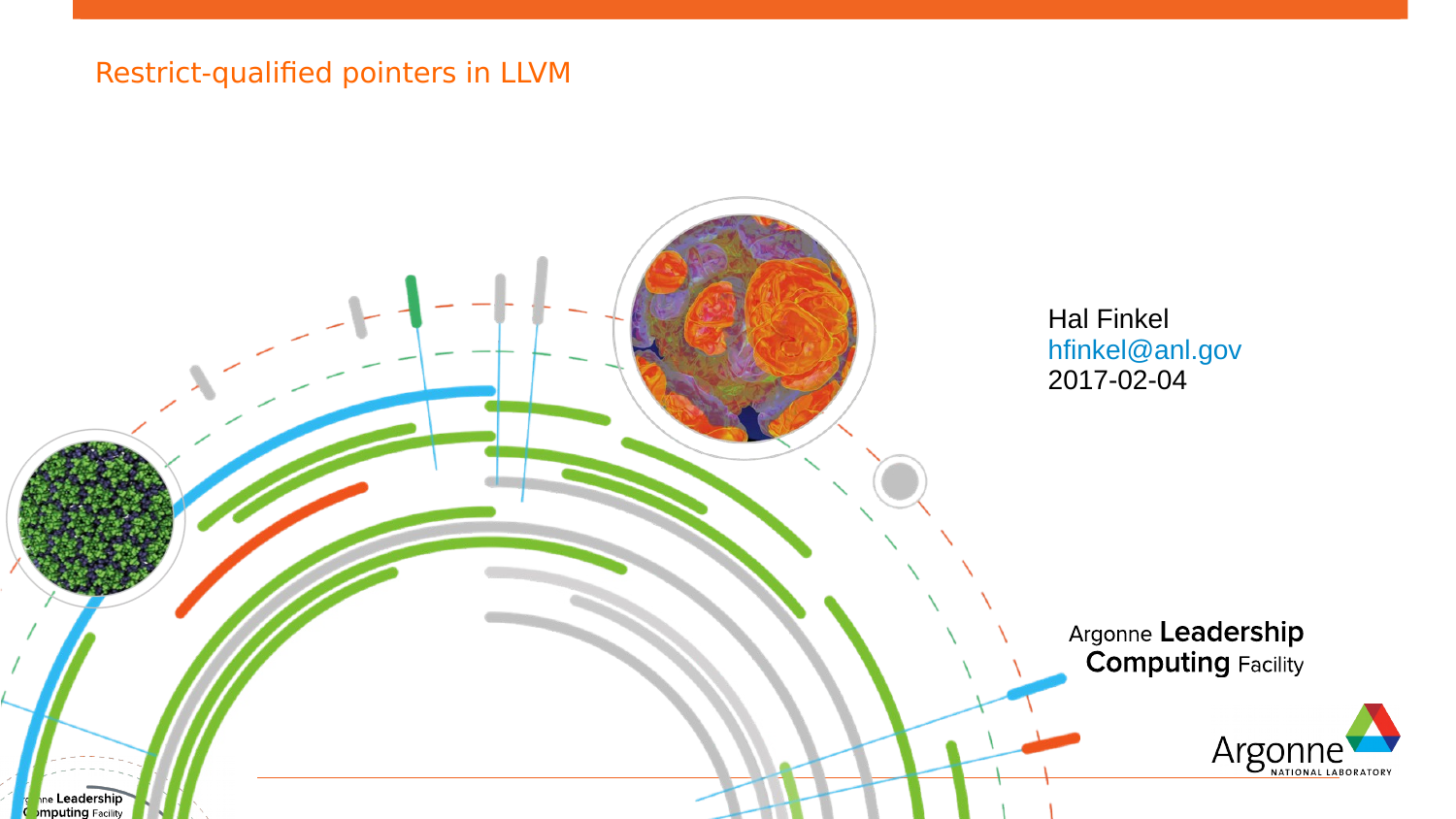### Restrict-qualified pointers in LLVM

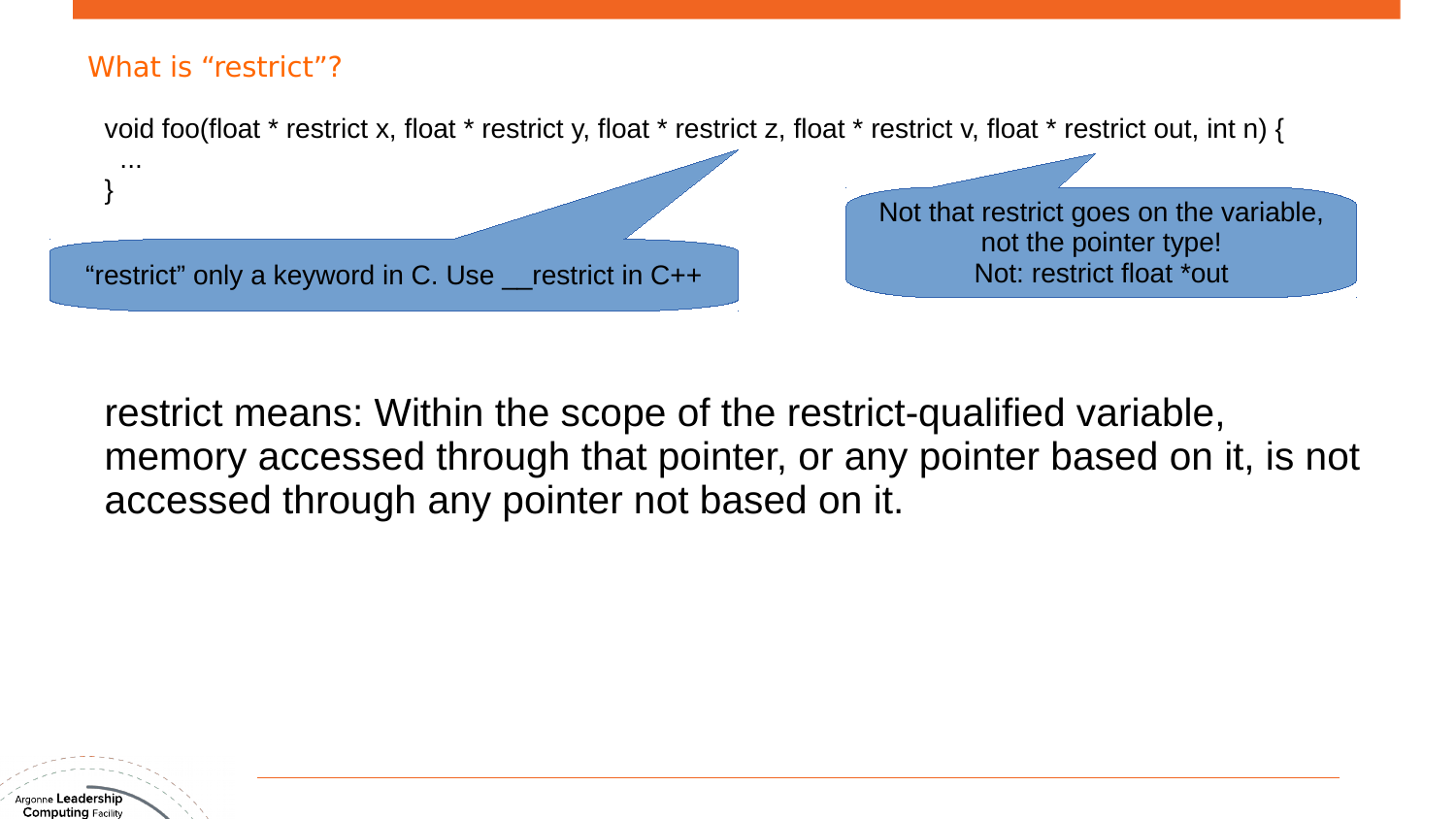

restrict means: Within the scope of the restrict-qualified variable, memory accessed through that pointer, or any pointer based on it, is not accessed through any pointer not based on it.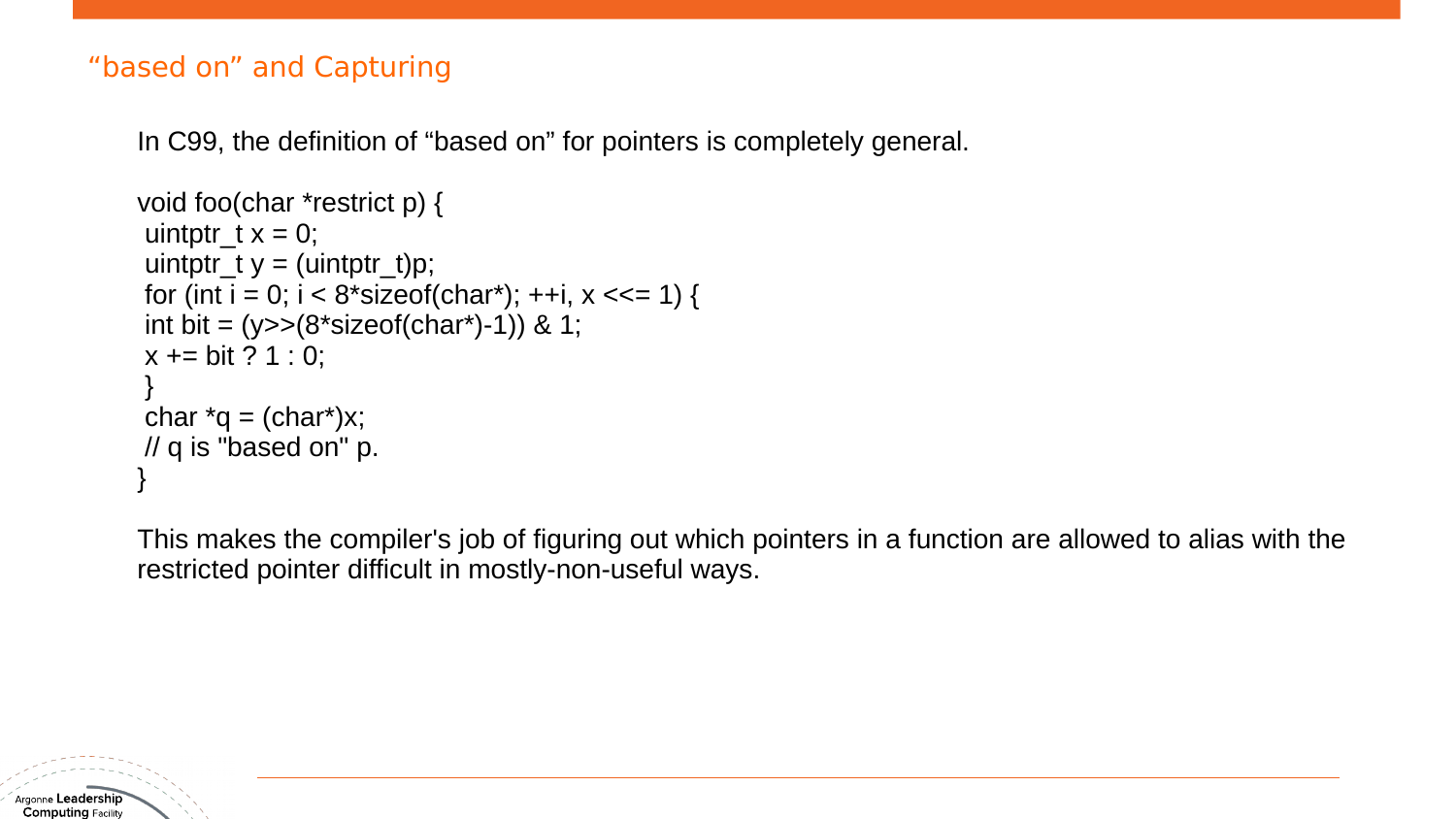#### "based on" and Capturing

In C99, the definition of "based on" for pointers is completely general.

```
void foo(char *restrict p) {
uintptr_t x = 0;
uintptr_t y = (uintptr_t)p;
for (int i = 0; i < 8*sizeof(char*); ++i, x \ll 1) {
int bit = (y \geq (8 \times 5 \cdot 2 \cdot \text{cot}( \text{char}^*) - 1)) & 1;
x == bit ? 1 : 0;}
char *q = (char*)x;// q is "based on" p.
}
```
This makes the compiler's job of figuring out which pointers in a function are allowed to alias with the restricted pointer difficult in mostly-non-useful ways.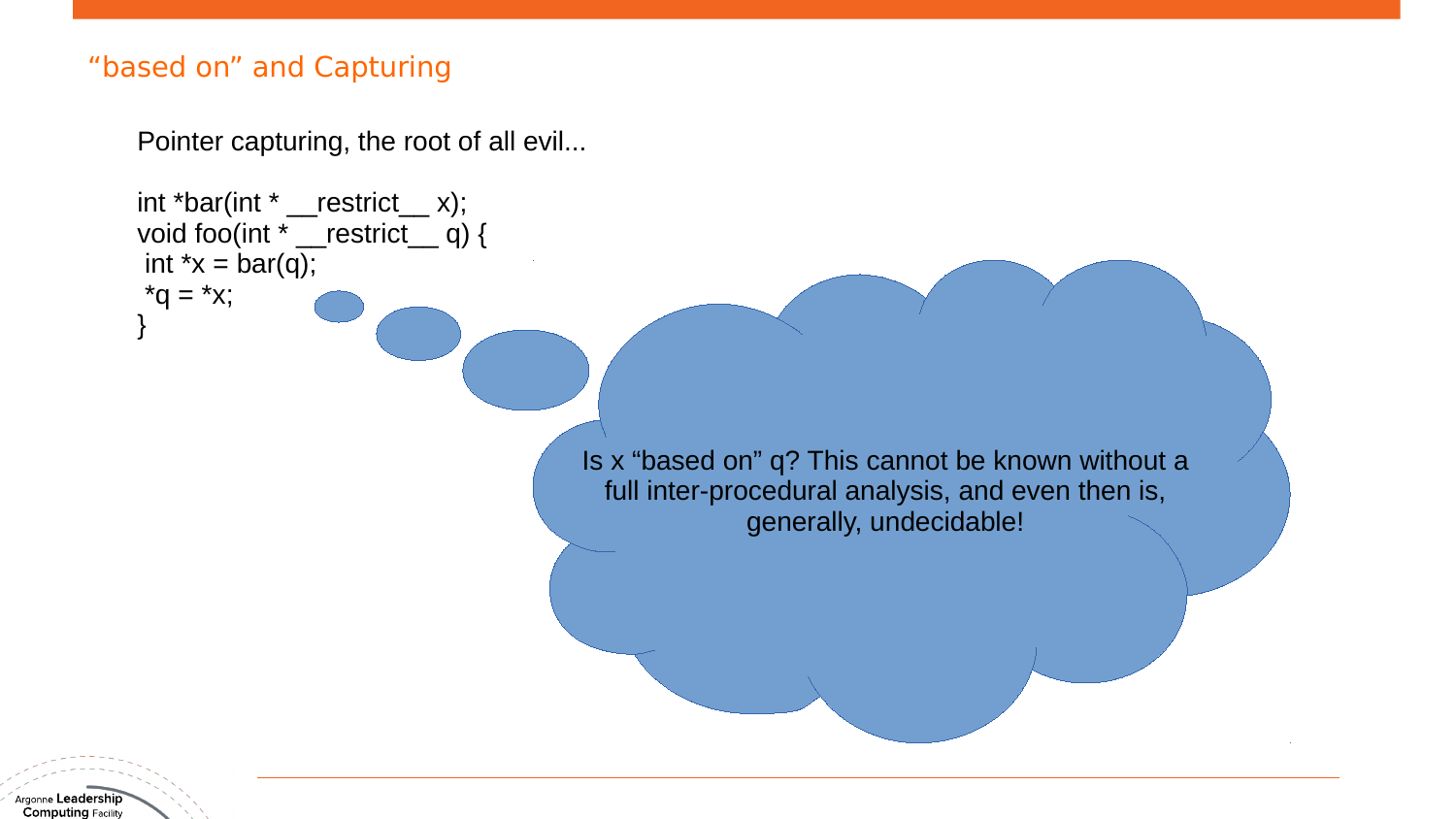#### "based on" and Capturing

Pointer capturing, the root of all evil...

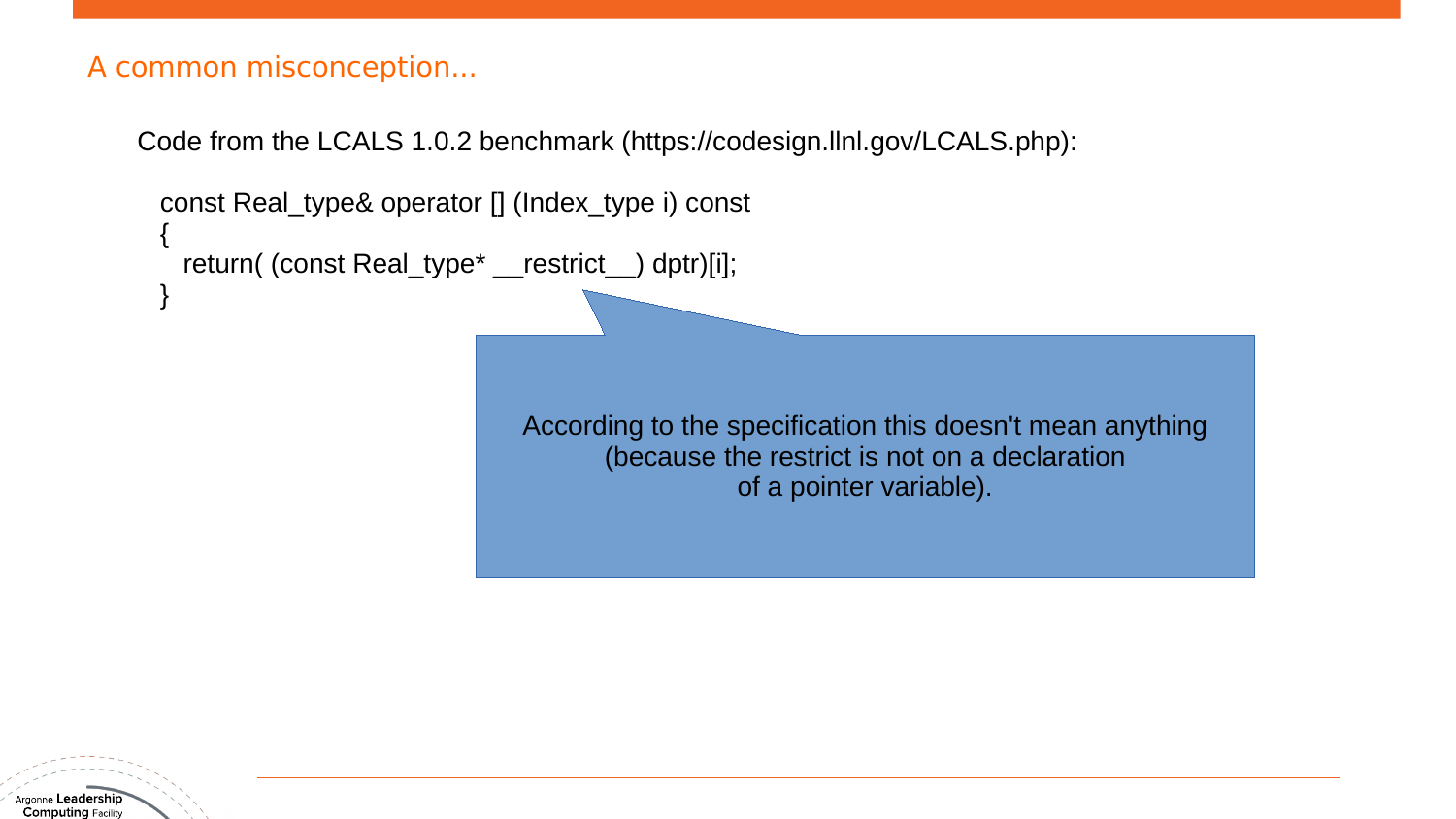#### A common misconception...

Code from the LCALS 1.0.2 benchmark (https://codesign.llnl.gov/LCALS.php):

```
 const Real_type& operator [] (Index_type i) const
 {
   return( (const Real_type* __restrict _) dptr)[i];
 }
                                According to the specification this doesn't mean anything
                                       (because the restrict is not on a declaration
                                                   of a pointer variable).
```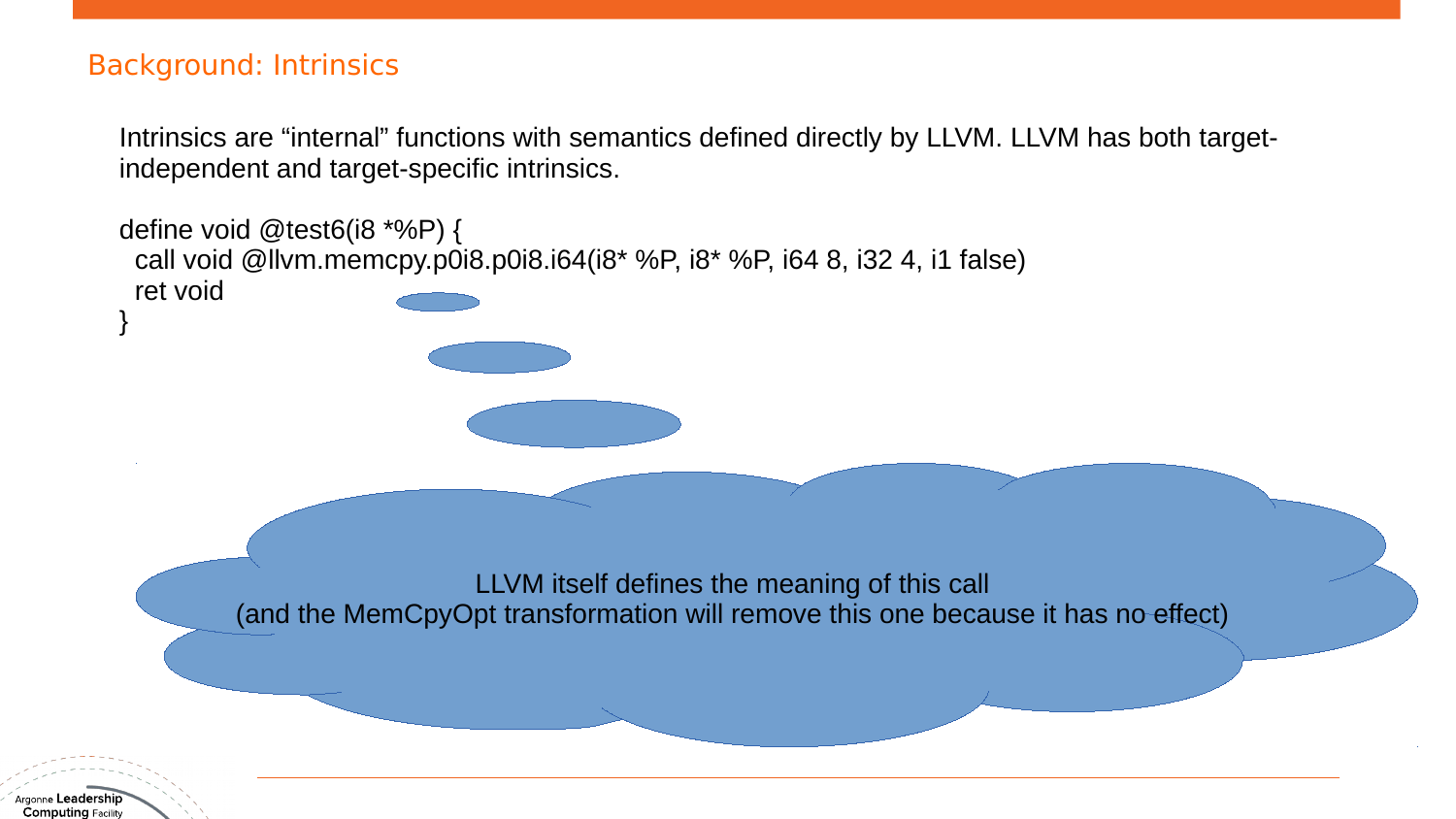#### Background: Intrinsics

Intrinsics are "internal" functions with semantics defined directly by LLVM. LLVM has both targetindependent and target-specific intrinsics.

define void @test6(i8 \*%P) { call void @llvm.memcpy.p0i8.p0i8.i64(i8\* %P, i8\* %P, i64 8, i32 4, i1 false) ret void } LLVM itself defines the meaning of this call (and the MemCpyOpt transformation will remove this one because it has no effect)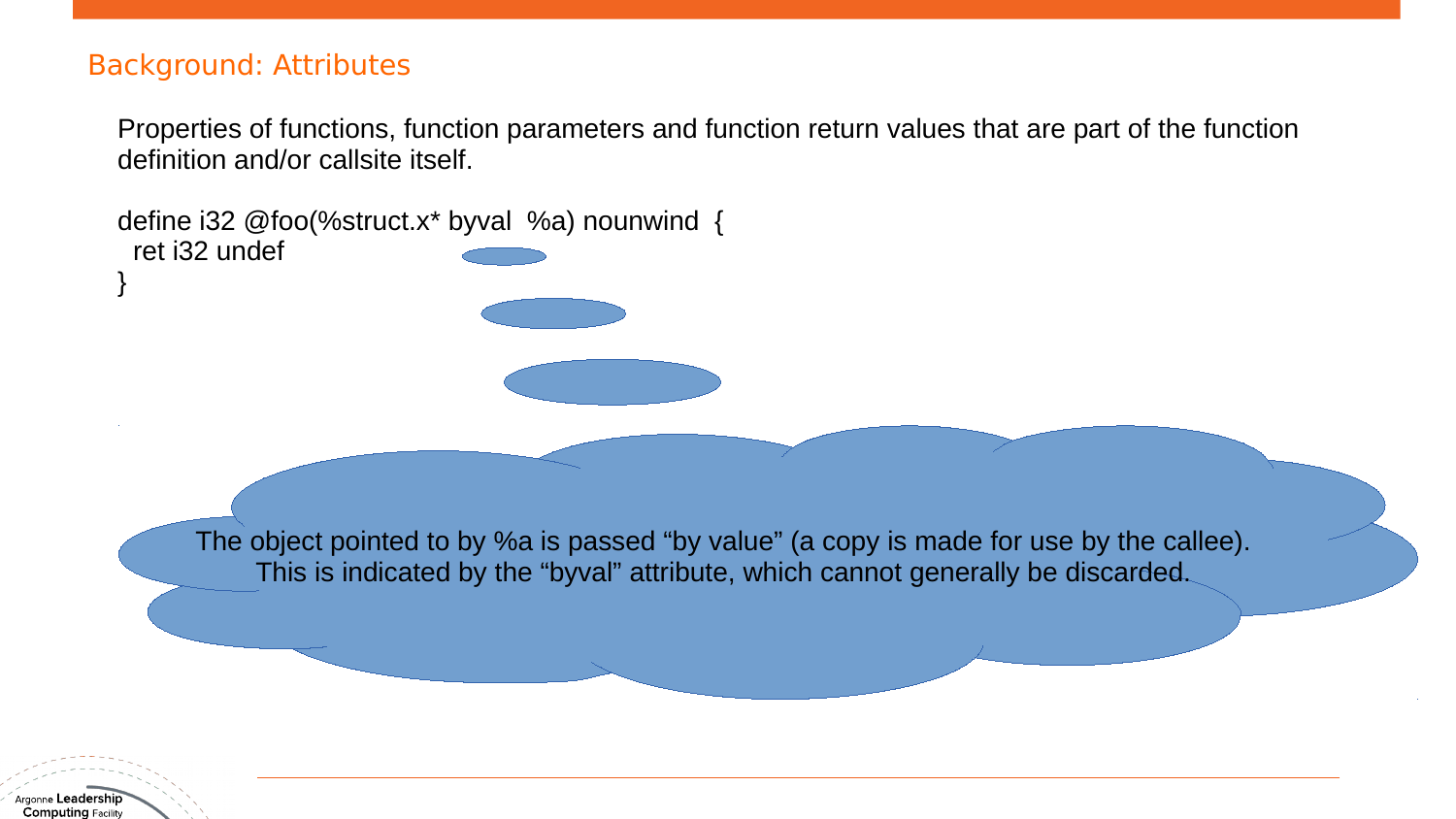#### Background: Attributes

ret i32 undef

}

define i32 @foo(%struct.x\* byval %a) nounwind {

Properties of functions, function parameters and function return values that are part of the function definition and/or callsite itself.

The object pointed to by %a is passed "by value" (a copy is made for use by the callee). This is indicated by the "byval" attribute, which cannot generally be discarded.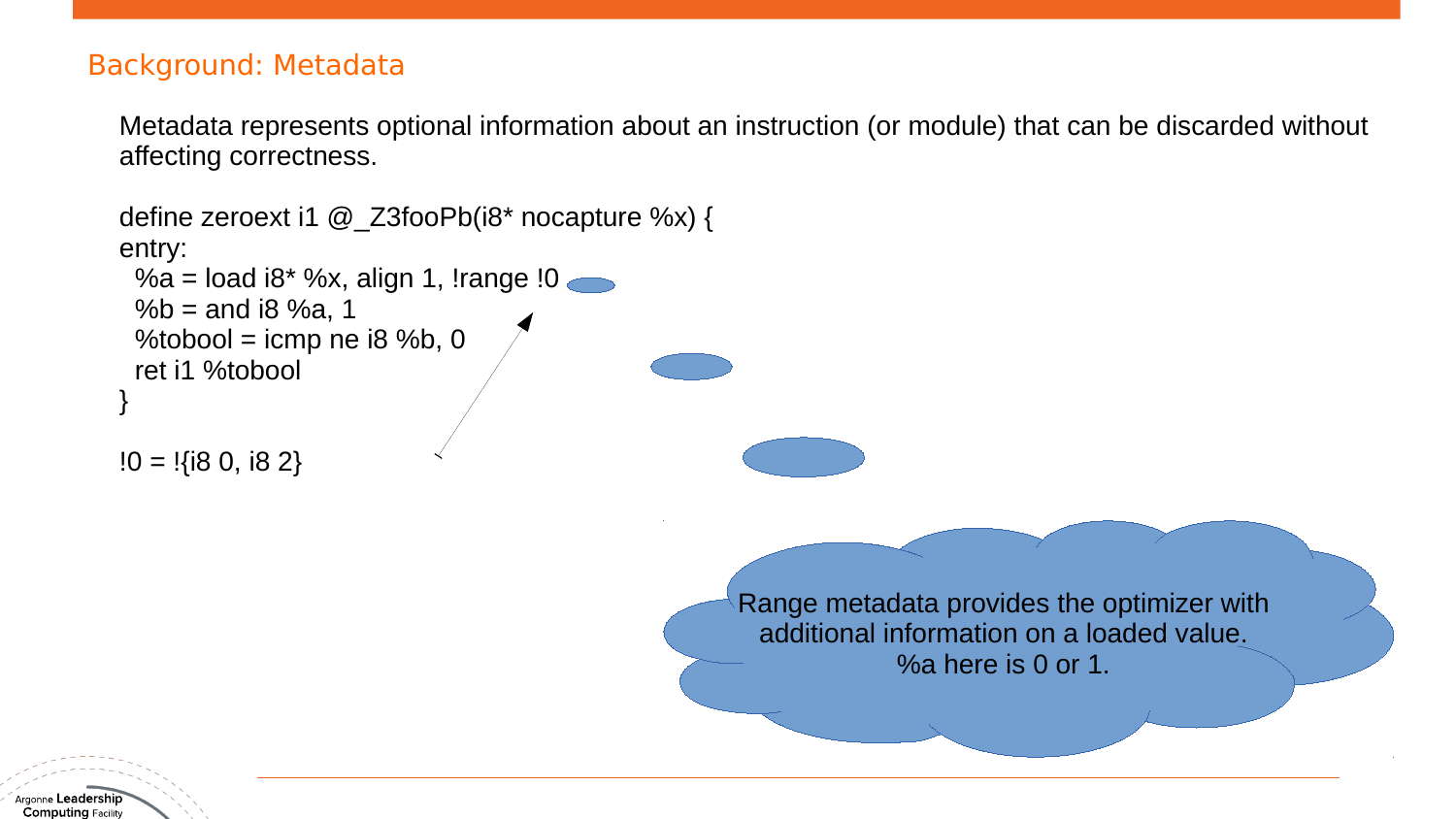#### Background: Metadata

Metadata represents optional information about an instruction (or module) that can be discarded without affecting correctness.

```
define zeroext i1 @_Z3fooPb(i8* nocapture %x) {
entry:
 %a = load i8* %x, align 1, !range !0
 % b = and i8 %a, 1
 %tobool = icmp ne i8 %b, 0
  ret i1 %tobool
}
10 = 1{i8 0, i8 2}
                                                   Range metadata provides the optimizer with
                                                    additional information on a loaded value.
                                                               %a here is 0 or 1.
```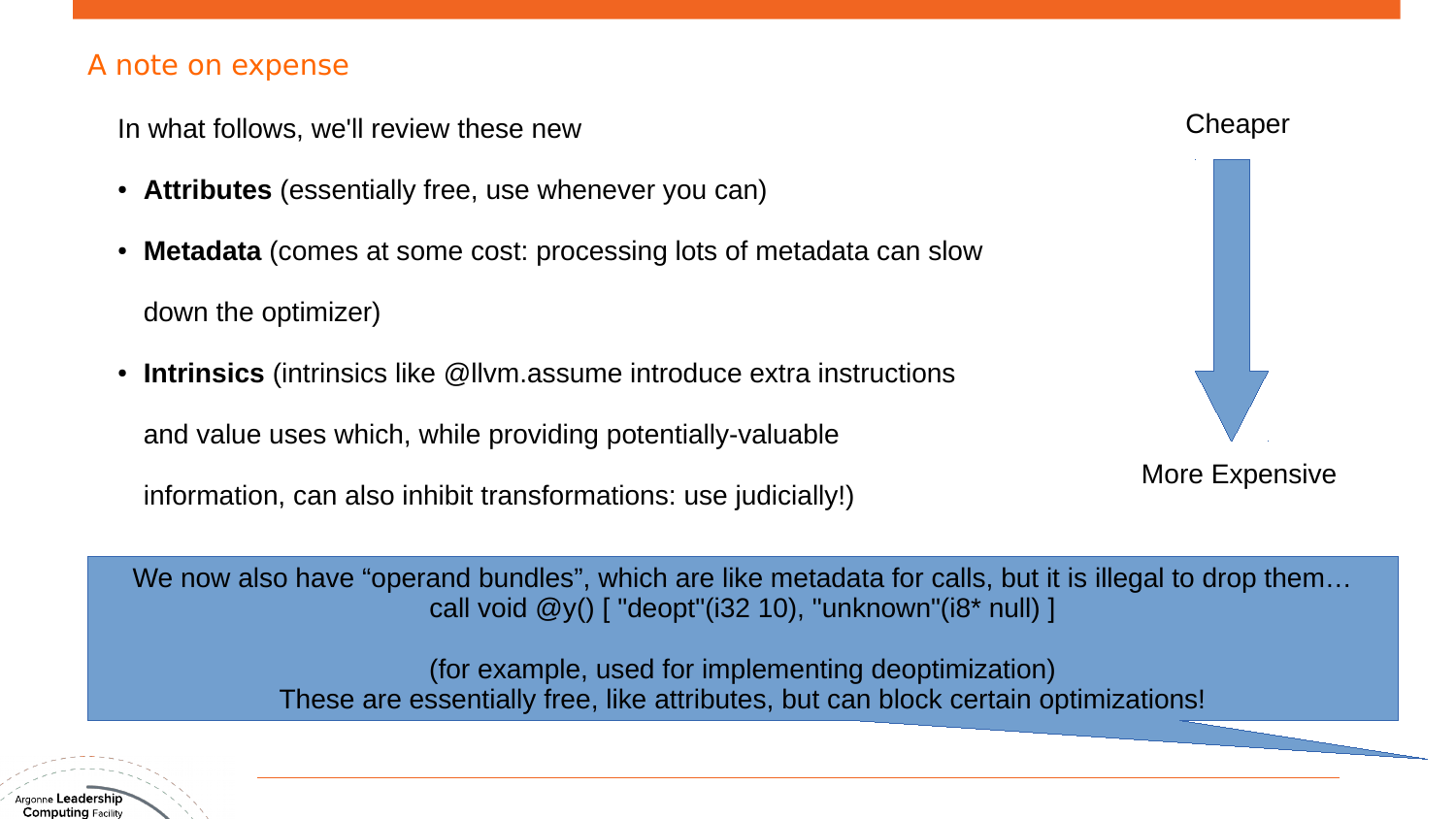#### A note on expense

In what follows, we'll review these new

- **Attributes** (essentially free, use whenever you can)
- **Metadata** (comes at some cost: processing lots of metadata can slow down the optimizer)
- **Intrinsics** (intrinsics like @llvm.assume introduce extra instructions

and value uses which, while providing potentially-valuable

information, can also inhibit transformations: use judicially!)



We now also have "operand bundles", which are like metadata for calls, but it is illegal to drop them... call void  $\mathcal{Q}$ y() [ "deopt"(i32 10), "unknown"(i8\* null) ]

> (for example, used for implementing deoptimization) These are essentially free, like attributes, but can block certain optimizations!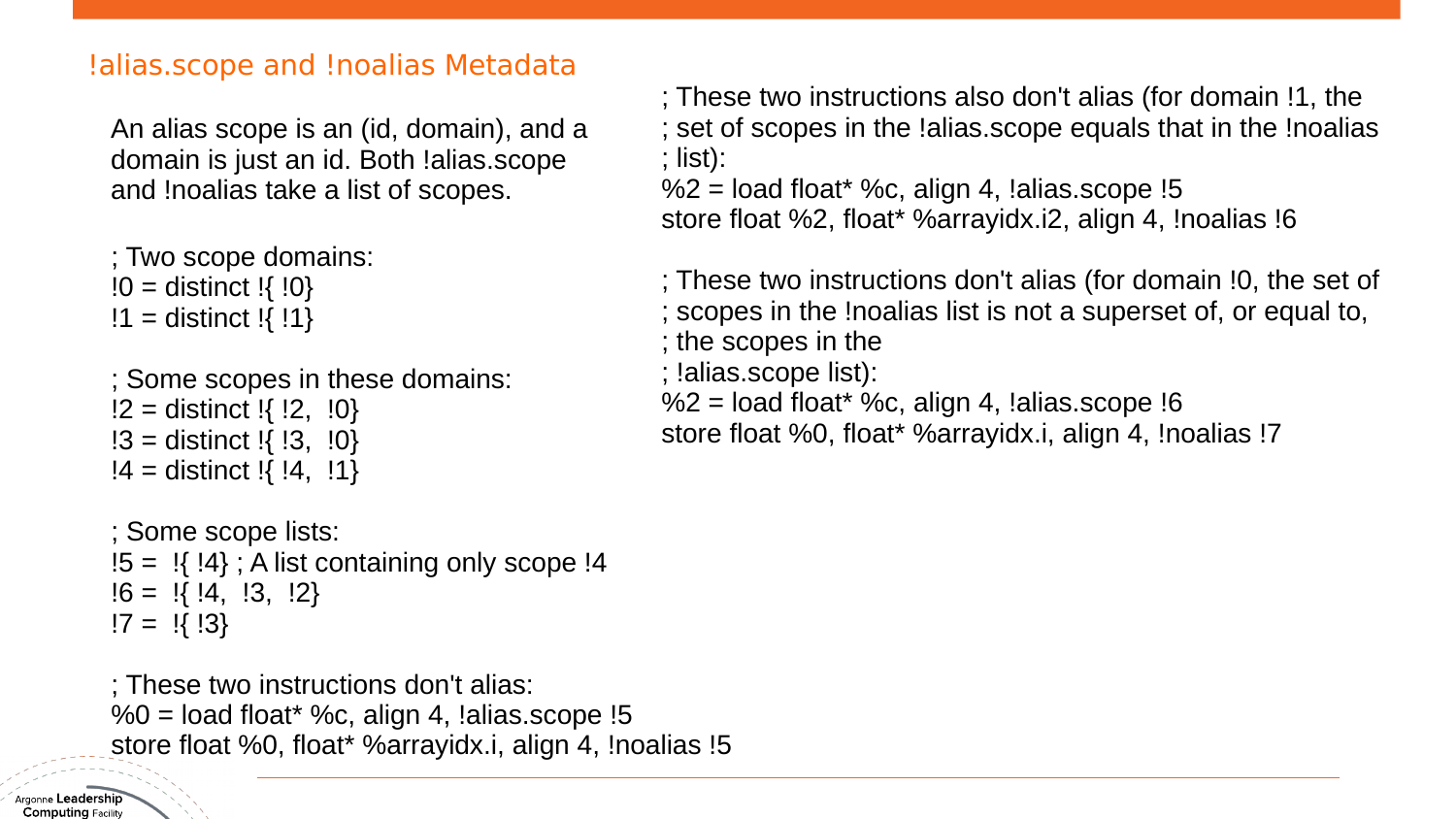#### !alias.scope and !noalias Metadata

An alias scope is an (id, domain), and a domain is just an id. Both !alias.scope and !noalias take a list of scopes.

 ; Two scope domains:  $!0 =$  distinct  $!$ {  $!0$ }  $!1 =$  distinct  $!\{ 1\}$ 

 ; Some scopes in these domains:  $!2$  = distinct  $!\{ 12, 10 \}$  $!3$  = distinct  $!\{ 13, 10 \}$  $!4 =$  distinct  $!\{ 4, 11 \}$ 

 ; Some scope lists:  $!5 = !{ !4} ; A$  list containing only scope  $!4$  $!6 = 1$ [  $!4$ ,  $!3$ ,  $!2$ ]  $!7 = !{ !}3$ 

 ; These two instructions don't alias:  $%0 =$  load float\* %c, align 4, !alias.scope !5 store float %0, float\* %arrayidx.i, align 4, !noalias !5

 ; These two instructions also don't alias (for domain !1, the ; set of scopes in the !alias.scope equals that in the !noalias ; list):

 $%2 =$  load float\* %c, align 4, !alias.scope !5 store float %2, float\* %arrayidx.i2, align 4, !noalias !6

 ; These two instructions don't alias (for domain !0, the set of ; scopes in the !noalias list is not a superset of, or equal to, ; the scopes in the ; !alias.scope list):

 $%2 =$  load float\* %c, align 4, !alias.scope !6 store float %0, float\* %arrayidx.i, align 4, !noalias !7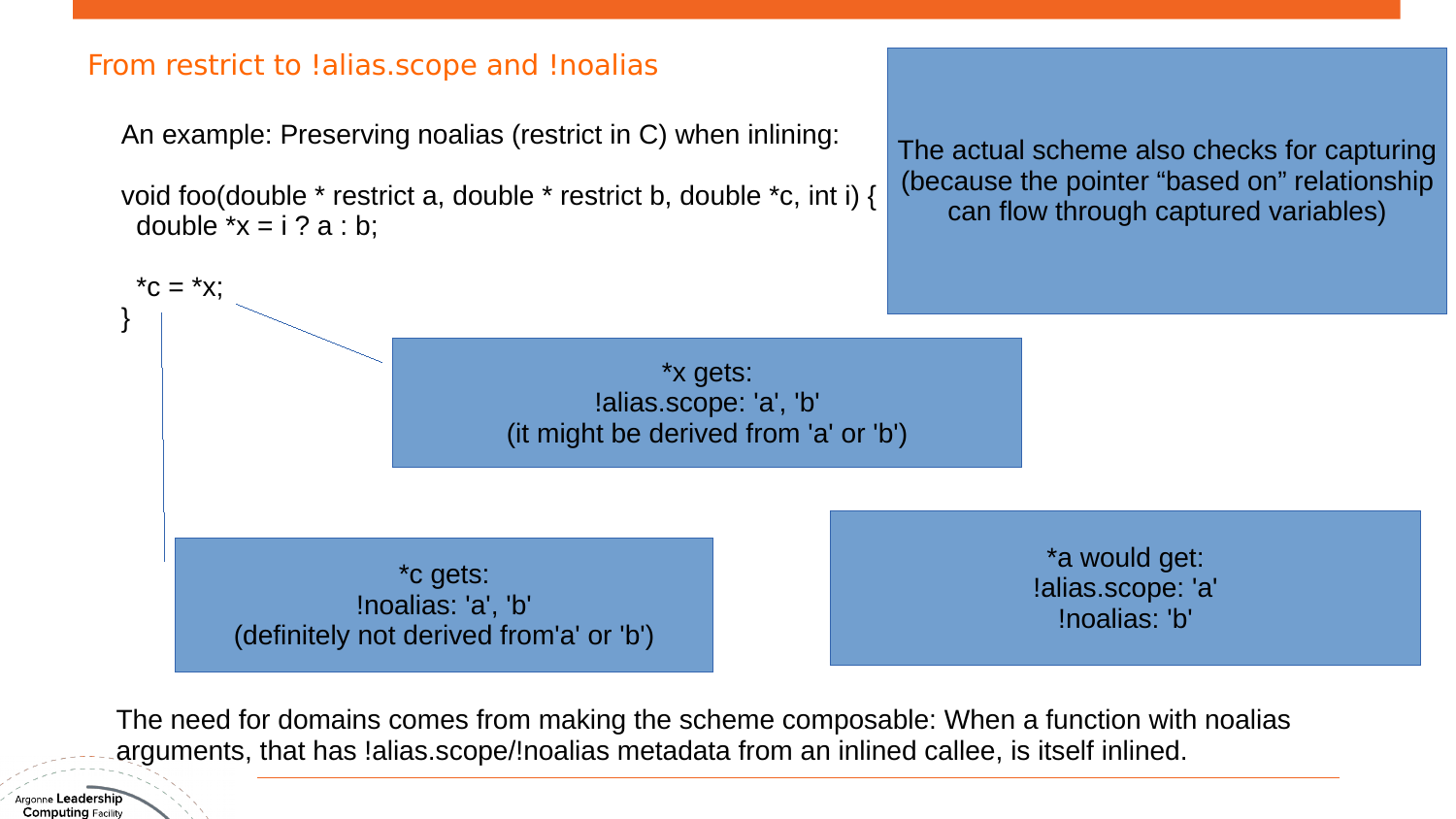#### From restrict to !alias.scope and !noalias

An example: Preserving noalias (restrict in C) when inlining:

void foo(double \* restrict a, double \* restrict b, double \*c, int i) { double  $*x = i$  ? a : b;

The actual scheme also checks for capturing (because the pointer "based on" relationship can flow through captured variables)



The need for domains comes from making the scheme composable: When a function with noalias arguments, that has !alias.scope/!noalias metadata from an inlined callee, is itself inlined.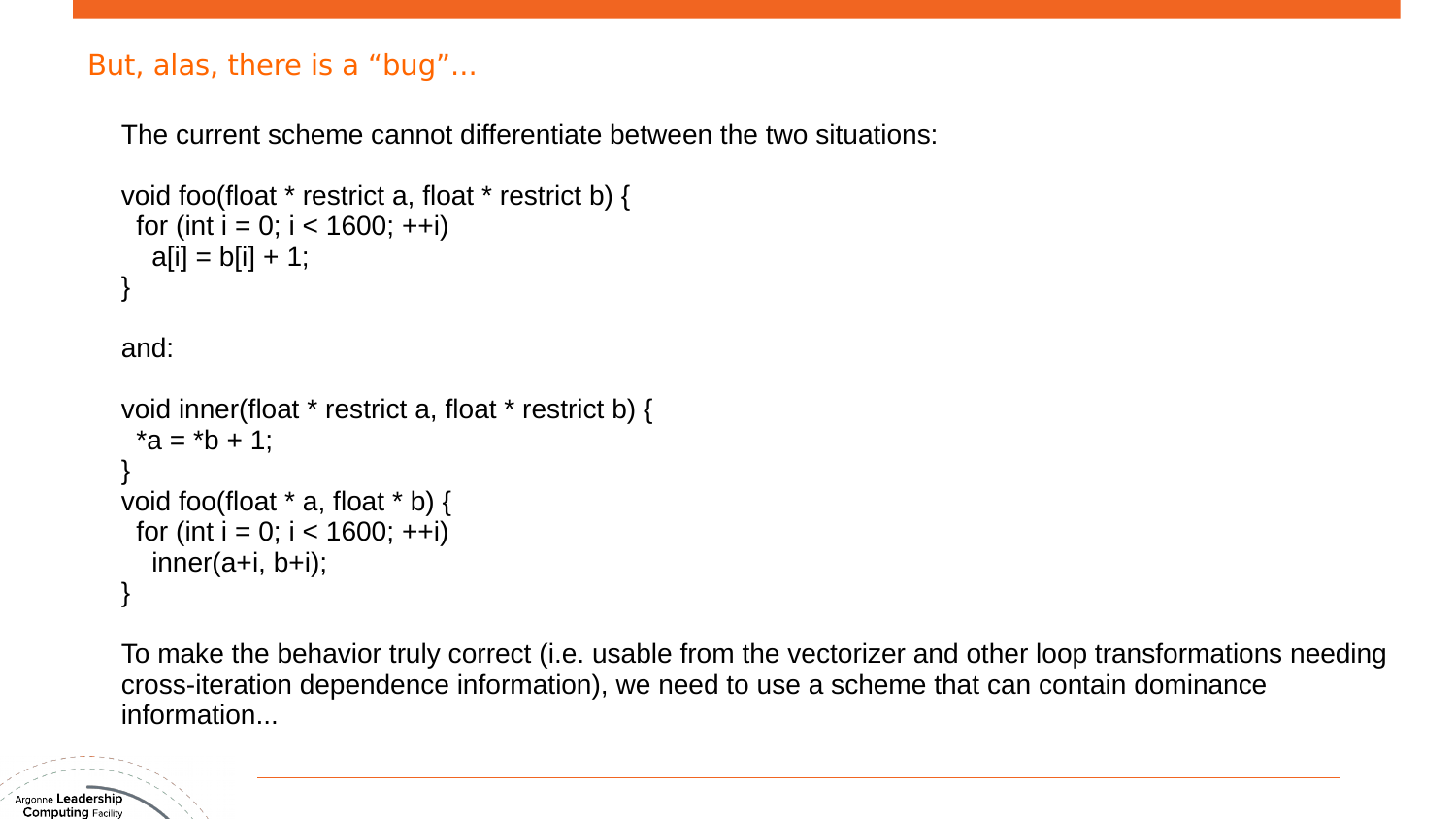#### But, alas, there is a "bug"...

The current scheme cannot differentiate between the two situations:

```
void foo(float * restrict a, float * restrict b) {
 for (int i = 0; i < 1600; ++i)
  a[i] = b[i] + 1;}
```
and:

```
void inner(float * restrict a, float * restrict b) {
 *a = *b + 1;
}
void foo(float * a, float * b) {
 for (int i = 0; i < 1600; ++i)
  inner(a+i, b+i);}
```
To make the behavior truly correct (i.e. usable from the vectorizer and other loop transformations needing cross-iteration dependence information), we need to use a scheme that can contain dominance information...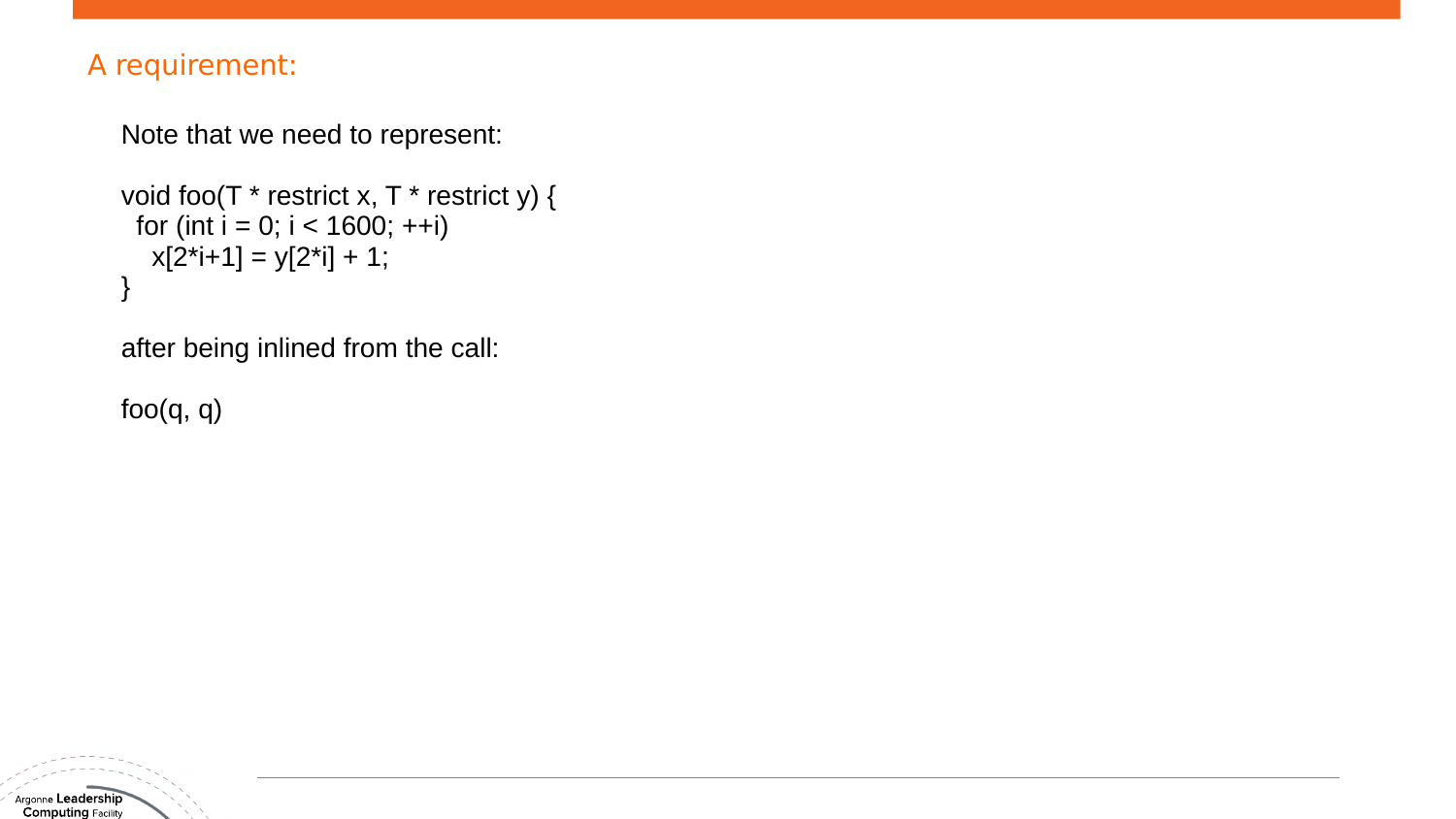#### A requirement:

```
Note that we need to represent:
```

```
void foo(T * restrict x, T * restrict y) {
 for (int i = 0; i < 1600; ++i)
  x[2+i+1] = y[2+i] + 1;}
```
after being inlined from the call:

foo(q, q)

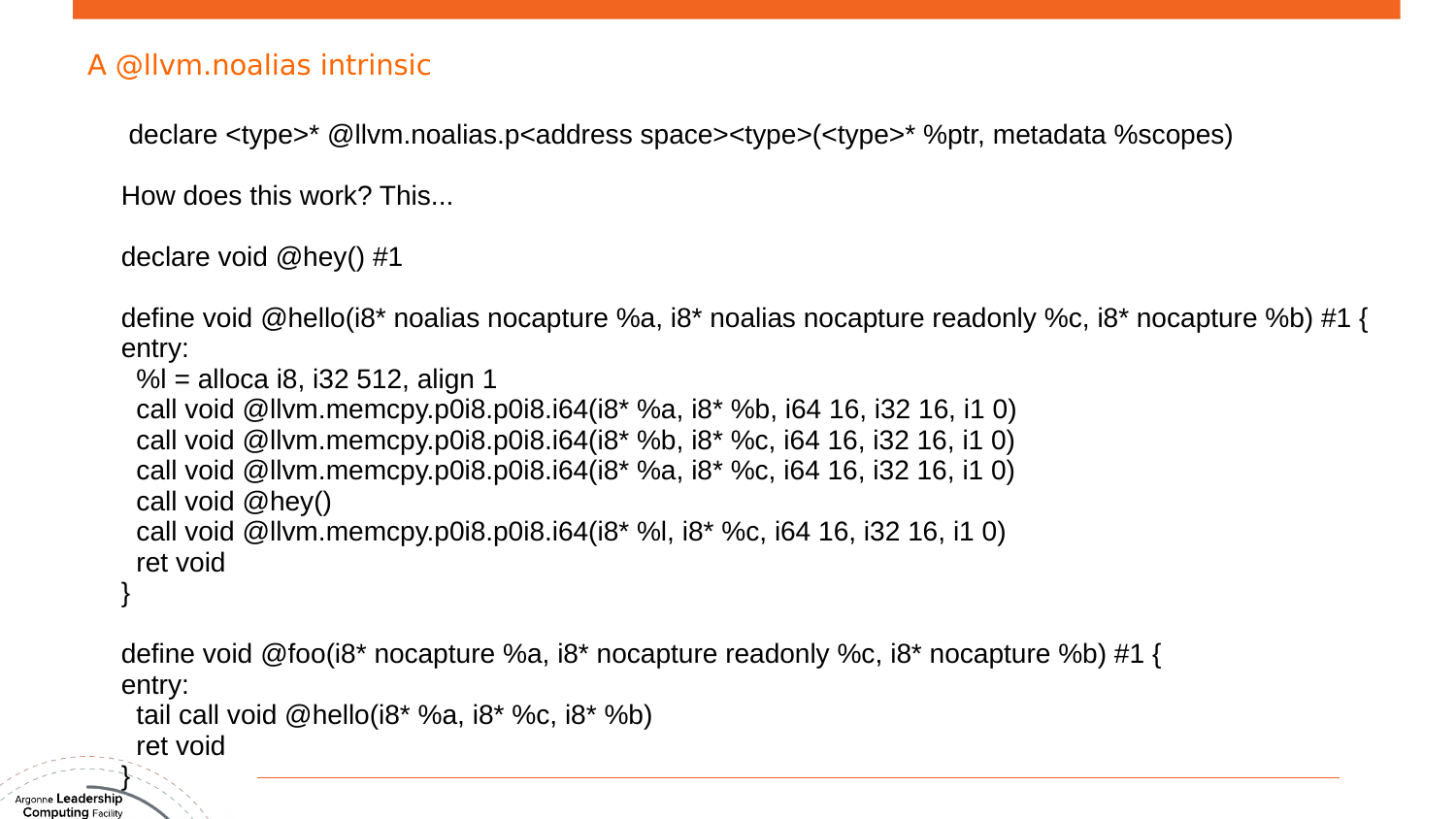#### A @llvm.noalias intrinsic

declare <type>\* @llvm.noalias.p<address space><type>(<type>\* %ptr, metadata %scopes)

How does this work? This...

declare void @hey() #1

define void @hello(i8\* noalias nocapture %a, i8\* noalias nocapture readonly %c, i8\* nocapture %b) #1 { entry:

```
 %l = alloca i8, i32 512, align 1
```

```
 call void @llvm.memcpy.p0i8.p0i8.i64(i8* %a, i8* %b, i64 16, i32 16, i1 0)
 call void @llvm.memcpy.p0i8.p0i8.i64(i8* %b, i8* %c, i64 16, i32 16, i1 0)
 call void @llvm.memcpy.p0i8.p0i8.i64(i8* %a, i8* %c, i64 16, i32 16, i1 0)
 call void @hey()
 call void @llvm.memcpy.p0i8.p0i8.i64(i8* %l, i8* %c, i64 16, i32 16, i1 0)
 ret void
```
define void @foo(i8\* nocapture %a, i8\* nocapture readonly %c, i8\* nocapture %b) #1 { entry:

```
tail call void @hello(18* %a, 18* %c, 18* %b)
 ret void
```
Argonne Leadership  $\mathsf{Computing}$  Facility

}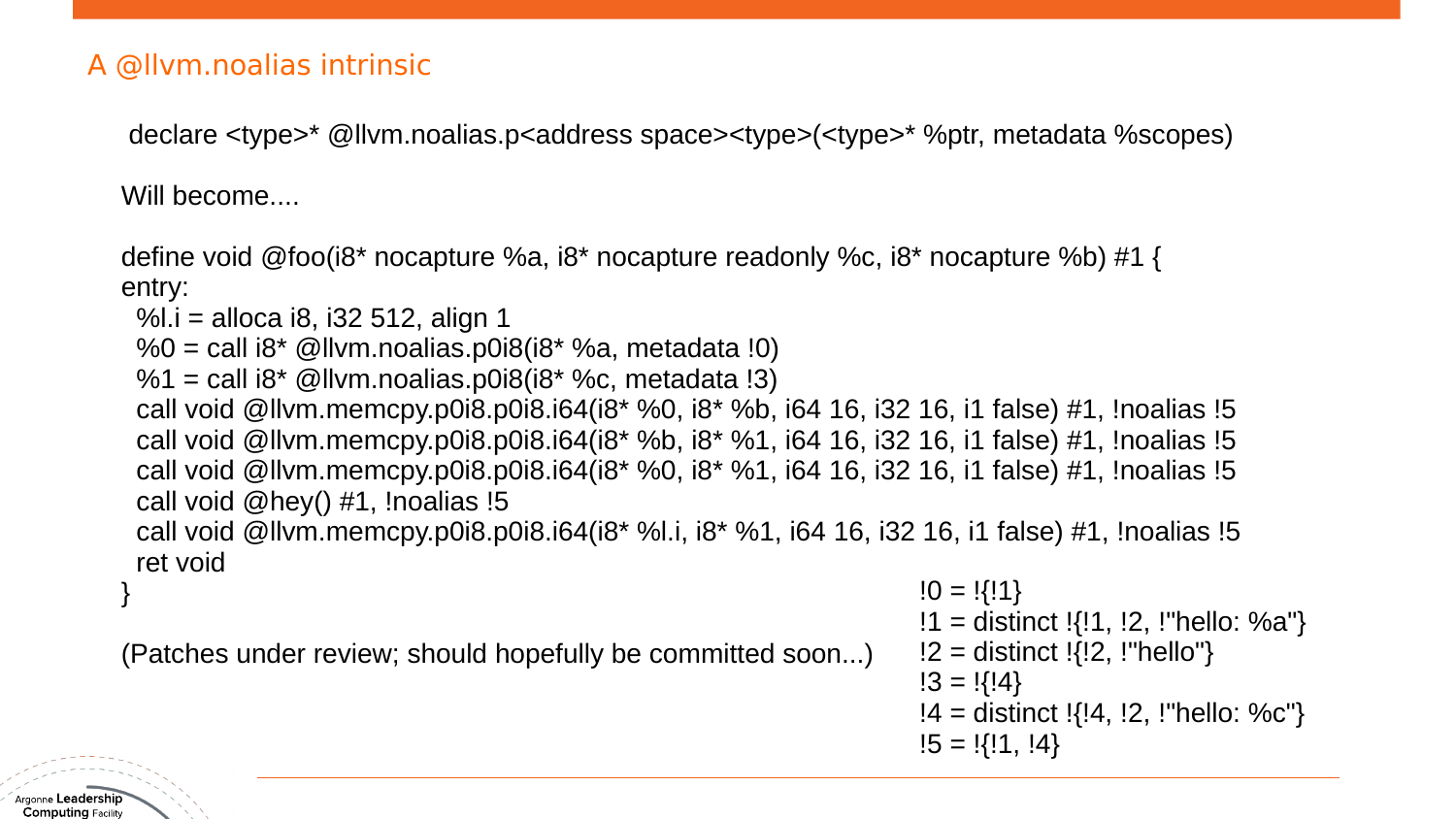declare <type>\* @llvm.noalias.p<address space><type>(<type>\* %ptr, metadata %scopes)

Will become....

define void @foo(i8\* nocapture %a, i8\* nocapture readonly %c, i8\* nocapture %b) #1 { entry:

%l.i = alloca i8, i32 512, align 1

 $%0 =$  call i8\* @llvm.noalias.p0i8(i8\* %a, metadata !0)

 $%1 =$  call i8\* @llvm.noalias.p0i8(i8\* %c, metadata !3)

 call void @llvm.memcpy.p0i8.p0i8.i64(i8\* %0, i8\* %b, i64 16, i32 16, i1 false) #1, !noalias !5 call void @llvm.memcpy.p0i8.p0i8.i64(i8\* %b, i8\* %1, i64 16, i32 16, i1 false) #1, !noalias !5 call void @llvm.memcpy.p0i8.p0i8.i64(i8\* %0, i8\* %1, i64 16, i32 16, i1 false) #1, !noalias !5 call void  $@$ hey() #1, !noalias !5

 call void @llvm.memcpy.p0i8.p0i8.i64(i8\* %l.i, i8\* %1, i64 16, i32 16, i1 false) #1, !noalias !5 ret void

(Patches under review; should hopefully be committed soon...)

 $!0 = 1{!}11$ 

 $!1$  = distinct  $\{1, 1, 2, \}$  "hello: %a"}

$$
!2 =
$$
 distinct  $!\{!2, !"hello"\}$ 

- $!3 = 1{14}$
- !4 = distinct !{!4, !2, !"hello: %c"}
- $!5 = 1{!}1, 14$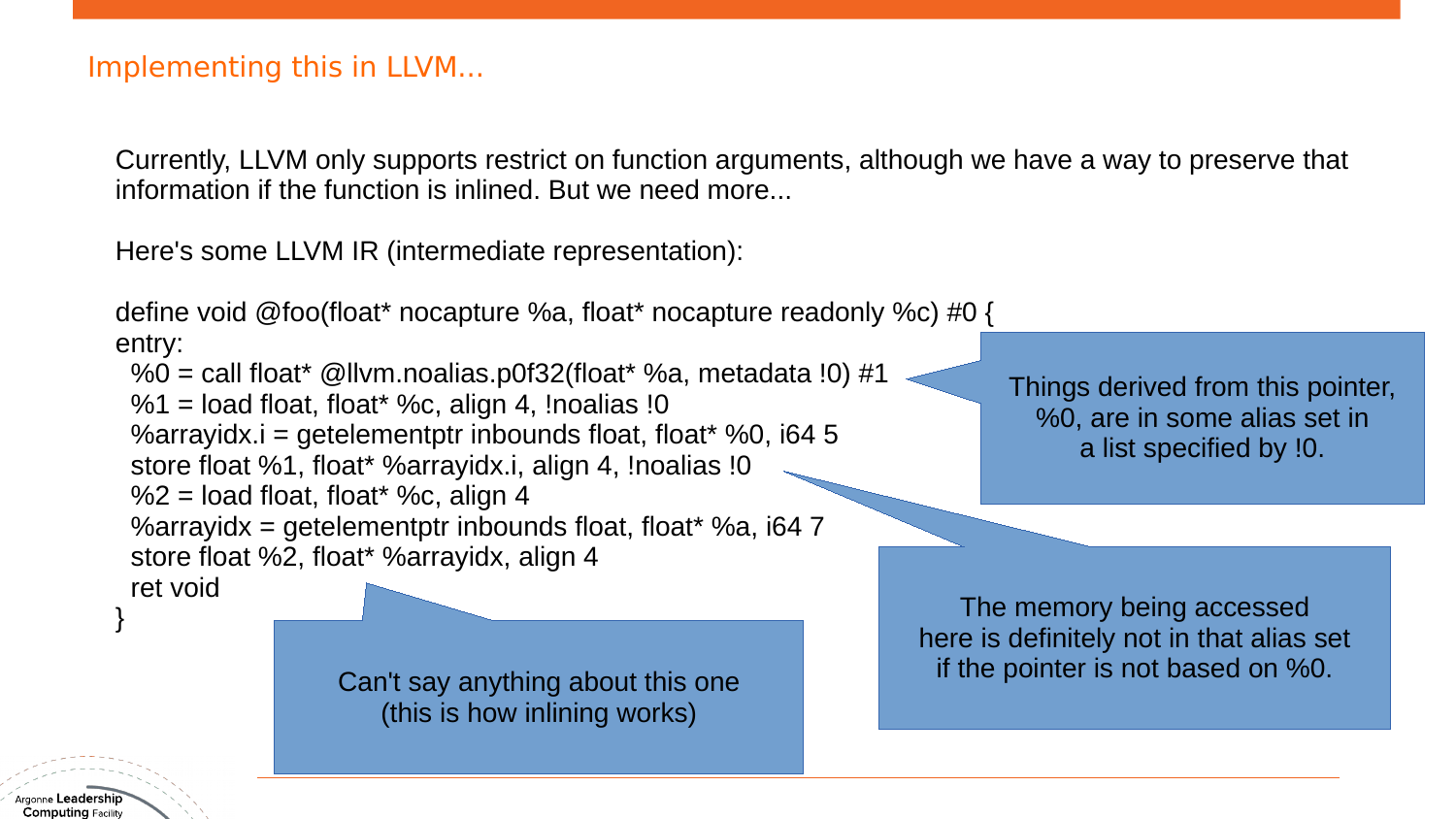Currently, LLVM only supports restrict on function arguments, although we have a way to preserve that information if the function is inlined. But we need more...

Here's some LLVM IR (intermediate representation):

define void @foo(float\* nocapture %a, float\* nocapture readonly %c) #0 { entry:

 $\%0$  = call float\* @llvm.noalias.p0f32(float\* %a, metadata !0) #1  $%1 =$  load float, float\* %c, align 4, !noalias !0 %arrayidx.i = getelementptr inbounds float, float\* %0, i64 5 store float %1, float\* %arrayidx.i, align 4, !noalias !0  $%2 =$  load float, float\* %c, align 4 %arrayidx = getelementptr inbounds float, float\* %a, i64 7 store float %2, float\* %arrayidx, align 4 ret void

(this is how inlining works)

The memory being accessed here is definitely not in that alias set if the pointer is not based on %0. Can't say anything about this one

Things derived from this pointer, %0, are in some alias set in a list specified by !0.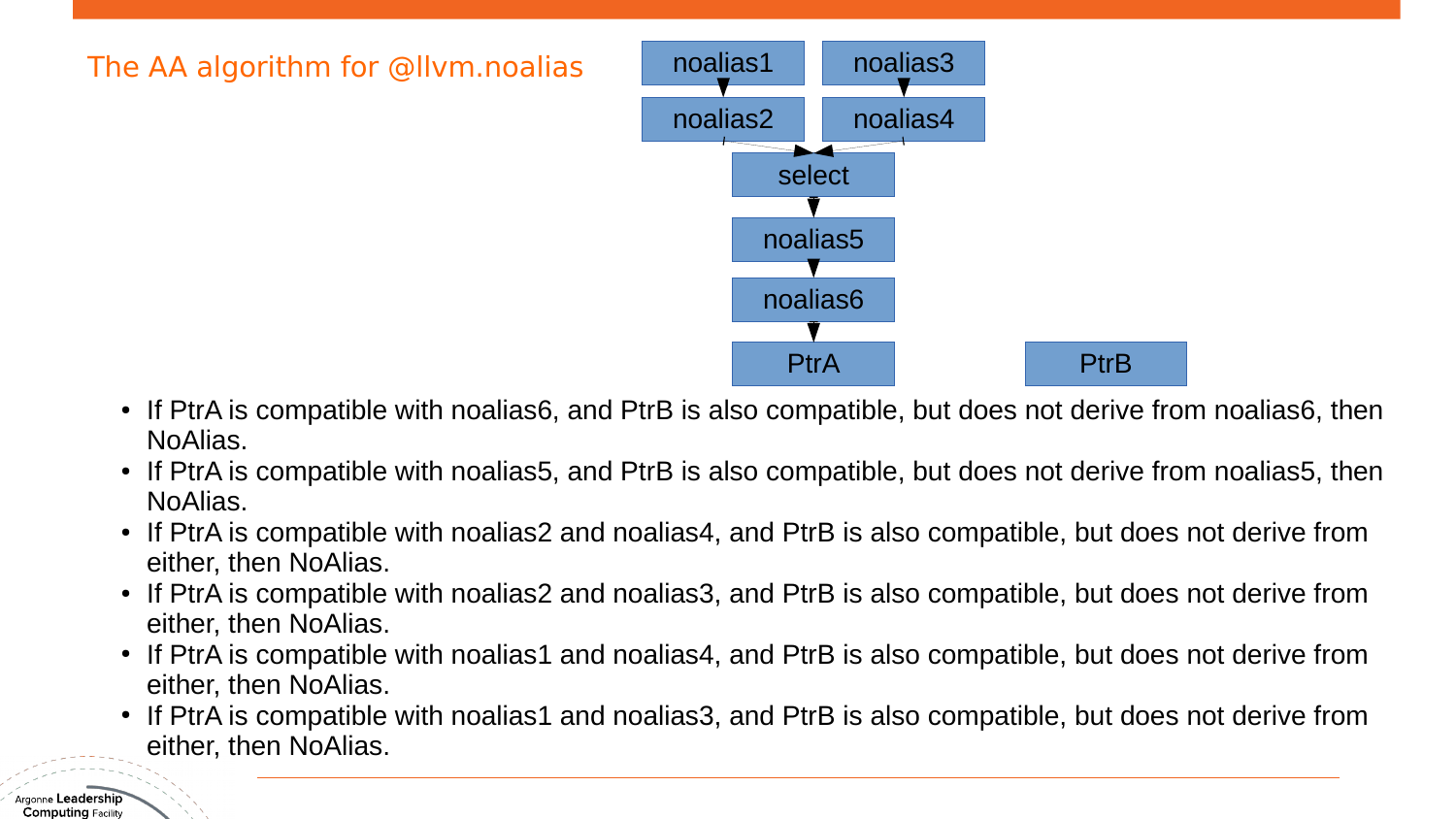

- If PtrA is compatible with noalias6, and PtrB is also compatible, but does not derive from noalias6, then NoAlias.
- If PtrA is compatible with noalias5, and PtrB is also compatible, but does not derive from noalias5, then NoAlias.
- If PtrA is compatible with noalias2 and noalias4, and PtrB is also compatible, but does not derive from either, then NoAlias.
- If PtrA is compatible with noalias2 and noalias3, and PtrB is also compatible, but does not derive from either, then NoAlias.
- If PtrA is compatible with noalias1 and noalias4, and PtrB is also compatible, but does not derive from either, then NoAlias.
- If PtrA is compatible with noalias1 and noalias3, and PtrB is also compatible, but does not derive from either, then NoAlias.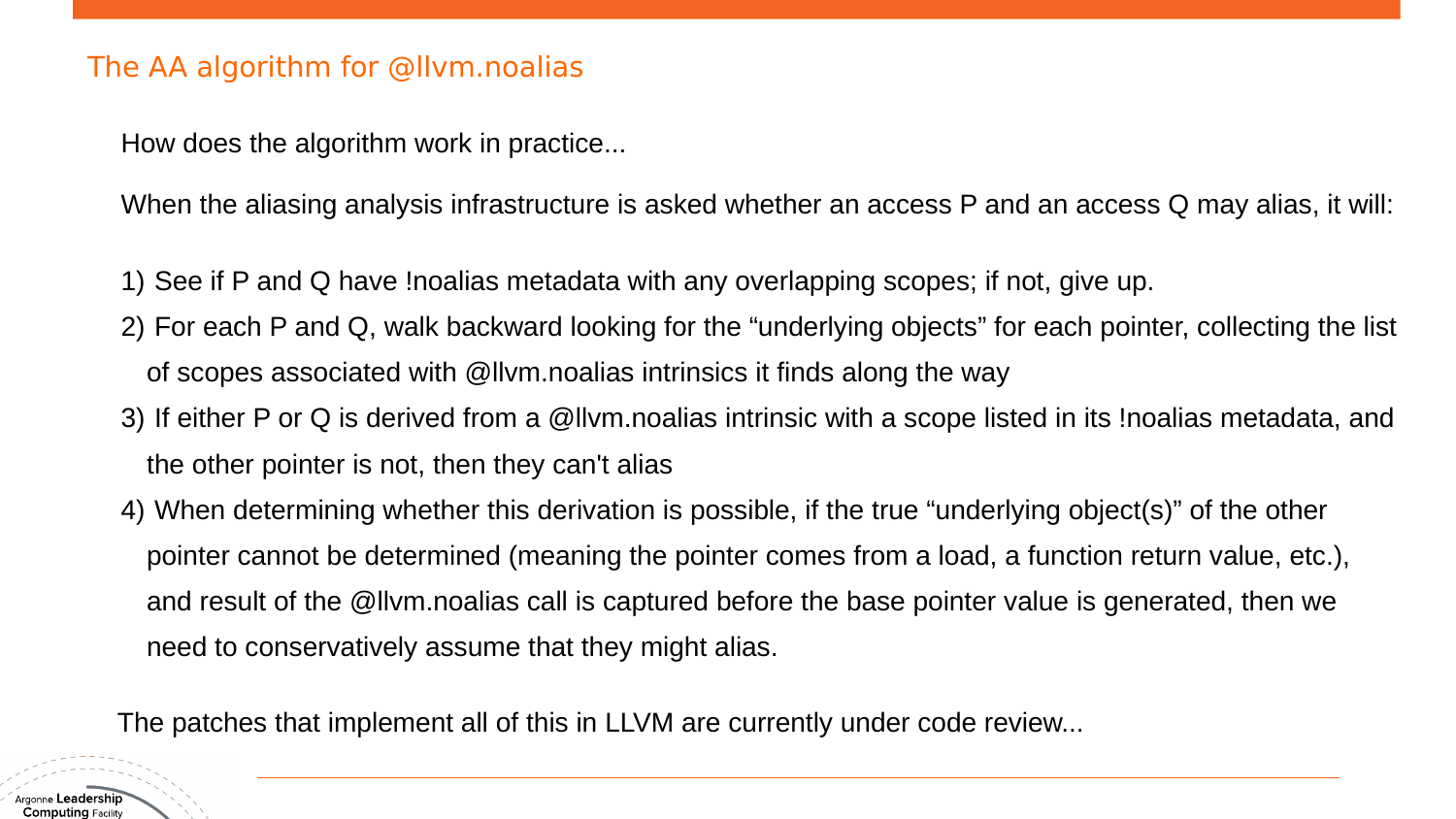#### The AA algorithm for @llvm.noalias

How does the algorithm work in practice...

When the aliasing analysis infrastructure is asked whether an access P and an access Q may alias, it will:

- 1) See if P and Q have !noalias metadata with any overlapping scopes; if not, give up.
- 2) For each P and Q, walk backward looking for the "underlying objects" for each pointer, collecting the list of scopes associated with @llvm.noalias intrinsics it finds along the way
- 3) If either P or Q is derived from a @llvm.noalias intrinsic with a scope listed in its !noalias metadata, and the other pointer is not, then they can't alias
- 4) When determining whether this derivation is possible, if the true "underlying object(s)" of the other pointer cannot be determined (meaning the pointer comes from a load, a function return value, etc.), and result of the @llvm.noalias call is captured before the base pointer value is generated, then we need to conservatively assume that they might alias.

The patches that implement all of this in LLVM are currently under code review...

Argonne **Leadership**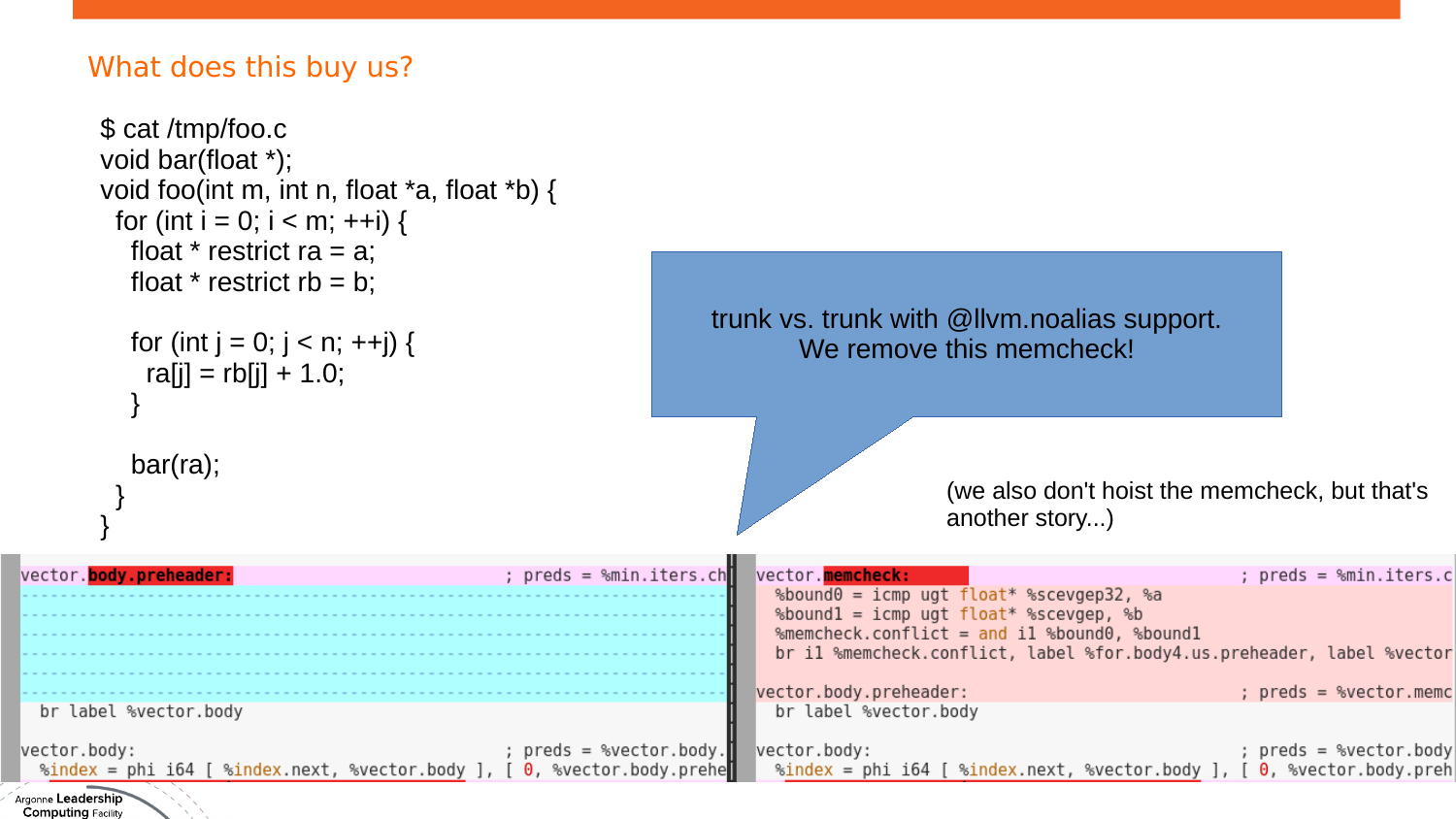## What does this buy us?

| $$cat$ /tmp/foo.c<br>void bar(float $*)$ ;<br>void foo(int m, int n, float $*a$ , float $*b$ ) {<br>for (int i = 0; i < m; ++i) {<br>float * restrict ra = a;<br>float * restrict $rb = b$ ;                                                                                                                                                                              |                                                         |                                                                                                                                                                                                              |                                                        |
|---------------------------------------------------------------------------------------------------------------------------------------------------------------------------------------------------------------------------------------------------------------------------------------------------------------------------------------------------------------------------|---------------------------------------------------------|--------------------------------------------------------------------------------------------------------------------------------------------------------------------------------------------------------------|--------------------------------------------------------|
| for (int $j = 0$ ; $j < n$ ; ++j) {<br>$ra[i] = rb[i] + 1.0;$                                                                                                                                                                                                                                                                                                             |                                                         | trunk vs. trunk with $@$ llvm. noalias support.<br>We remove this memcheck!                                                                                                                                  |                                                        |
| $bar(ra)$ ;                                                                                                                                                                                                                                                                                                                                                               |                                                         | (we also don't hoist the memcheck, but that's<br>another story)                                                                                                                                              |                                                        |
| vector. body.preheader:                                                                                                                                                                                                                                                                                                                                                   | ; $preds = %min.iters.ch$<br>vector.memcheck:           | %bound0 = icmp ugt float* %scevgep32, %a<br>%bound1 = icmp ugt float* %scevgep, %b<br>%memcheck.conflict = and il %bound0, %bound1<br>br il %memcheck.conflict, label %for.body4.us.preheader, label %vector | ; $preds = %min.iters.$                                |
| br label %vector.body                                                                                                                                                                                                                                                                                                                                                     | vector.body.preheader:<br>br label %vector.body         |                                                                                                                                                                                                              | ; preds = %vector.memo                                 |
| vector.body:<br>$\frac{1}{2}$ = phi i64 [ $\frac{1}{2}$ = $\frac{1}{2}$ = $\frac{1}{2}$ = $\frac{1}{2}$ = $\frac{1}{2}$ = $\frac{1}{2}$ = $\frac{1}{2}$ = $\frac{1}{2}$ = $\frac{1}{2}$ = $\frac{1}{2}$ = $\frac{1}{2}$ = $\frac{1}{2}$ = $\frac{1}{2}$ = $\frac{1}{2}$ = $\frac{1}{2}$ = $\frac{1}{2}$ = $\frac{1}{2$<br>Argonne Leadership<br><b>Computing Facility</b> | ; $\text{preds} = \text{%vector-body.}$<br>vector.body: | %index = phi i64 [ %index.next, %vector.body ], [                                                                                                                                                            | ; preds = %vector.body<br>$\theta$ , %vector.body.preh |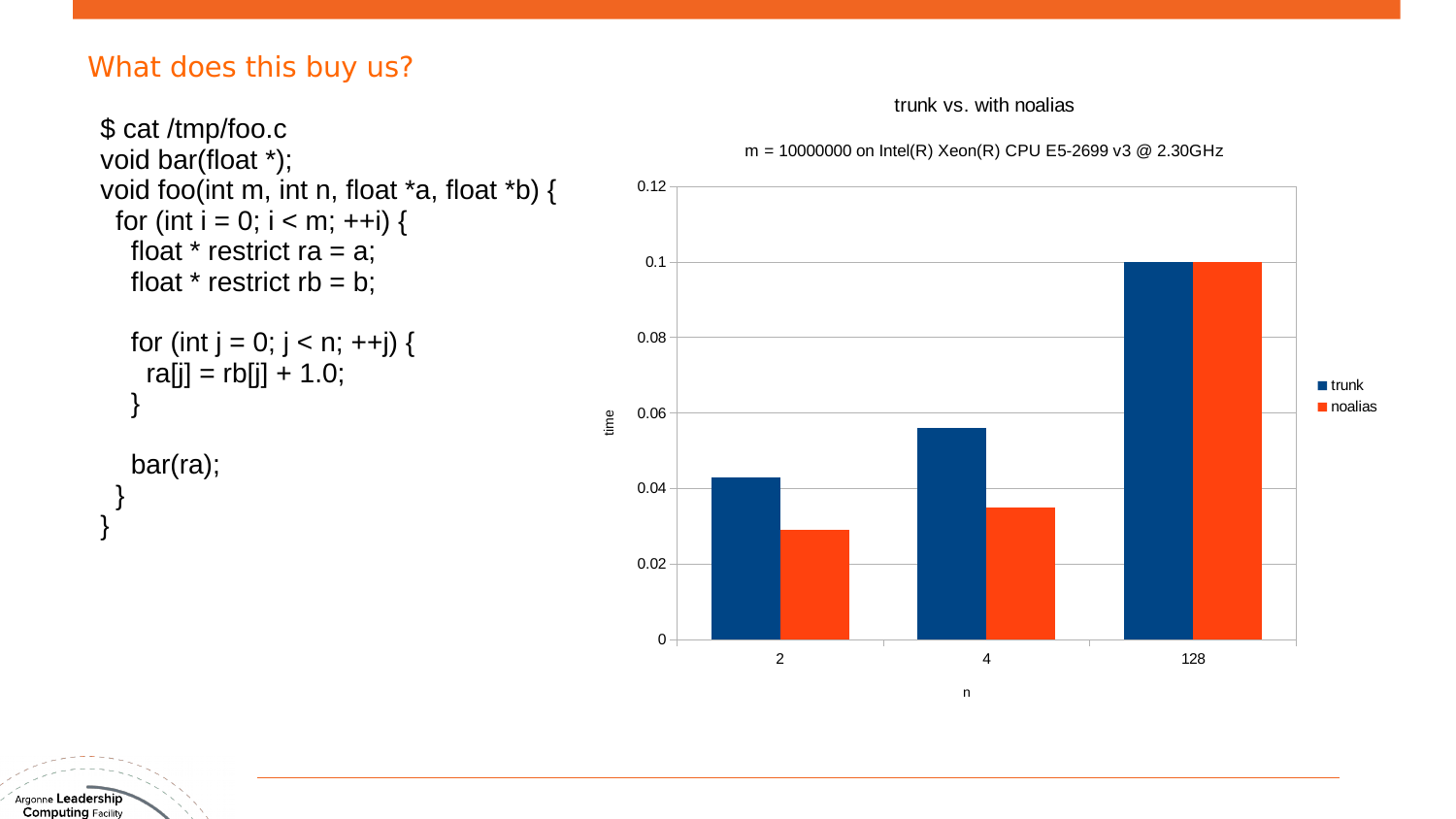#### What does this buy us?

```
$ cat /tmp/foo.c 
void bar(float *);
void foo(int m, int n, float *a, float *b) {
 for (int i = 0; i < m; ++i) {
  float * restrict ra = a;
  float * restrict rb = b;
  for (int j = 0; j < n; ++j) {
    ra[j] = rb[j] + 1.0; }
    bar(ra);
 }
}
```
trunk vs. with noalias



n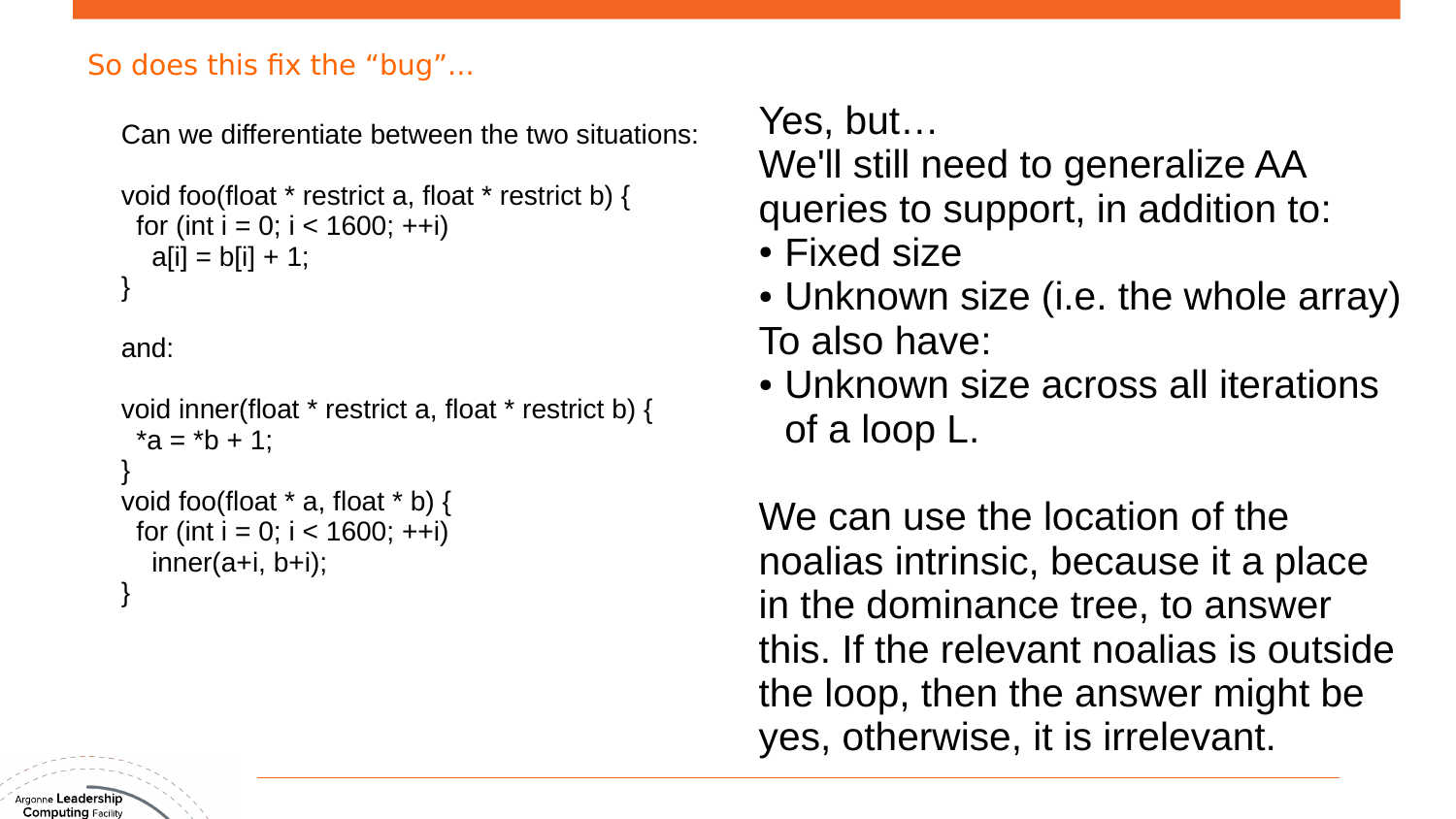### So does this fix the "bug"...

Can we differentiate between the two situations:

```
void foo(float * restrict a, float * restrict b) {
 for (int i = 0; i < 1600; ++i)
  a[i] = b[i] + 1;}
```
and:

```
void inner(float * restrict a, float * restrict b) {
 *a = *b + 1;
}
void foo(float * a, float * b) {
 for (int i = 0; i < 1600; ++i)
  inner(a+i, b+i);}
```
Yes, but…

We'll still need to generalize AA queries to support, in addition to:

- Fixed size
- Unknown size (i.e. the whole array) To also have:
- Unknown size across all iterations of a loop L.

We can use the location of the noalias intrinsic, because it a place in the dominance tree, to answer this. If the relevant noalias is outside the loop, then the answer might be yes, otherwise, it is irrelevant.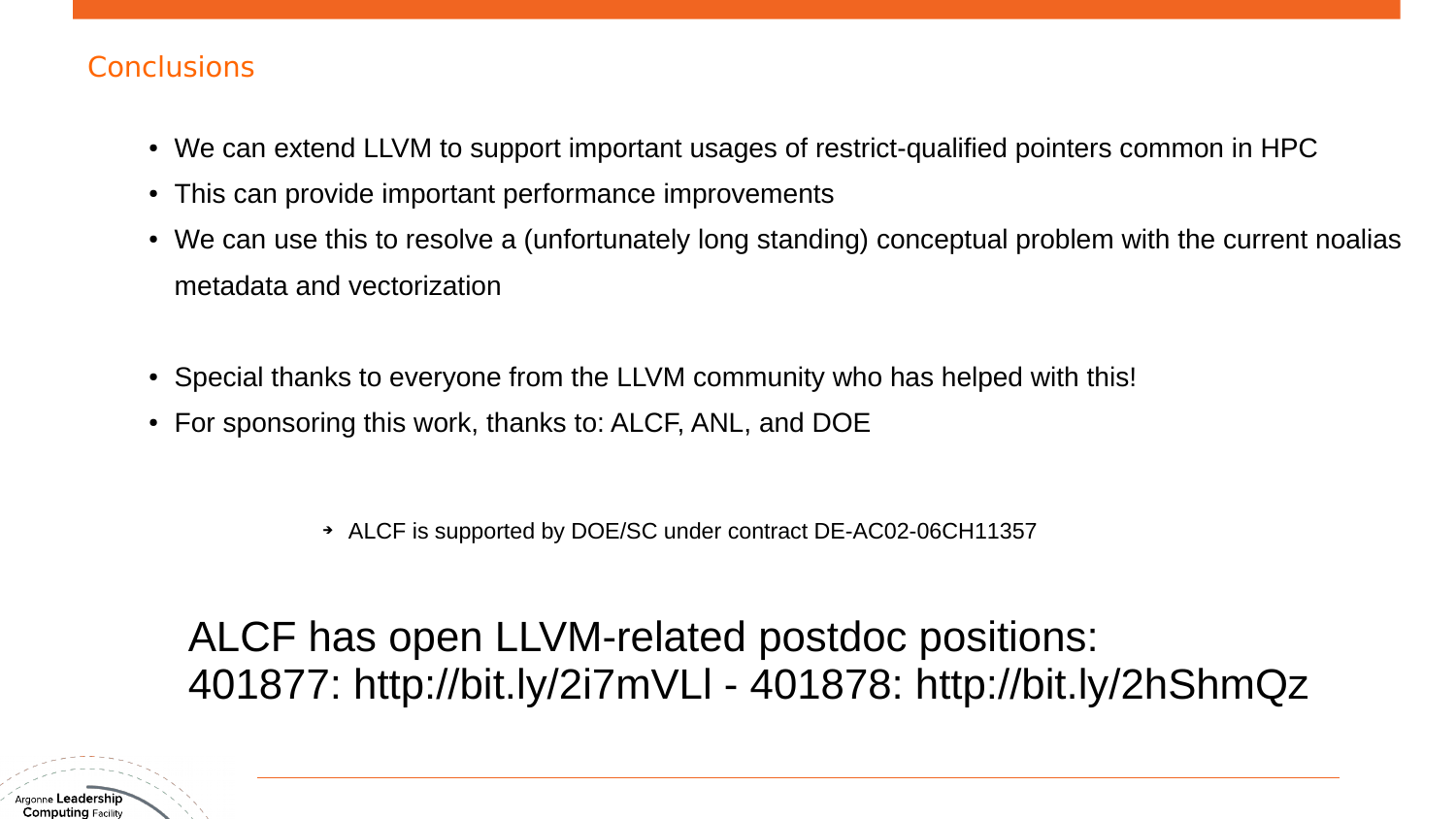#### **Conclusions**

- We can extend LLVM to support important usages of restrict-qualified pointers common in HPC
- This can provide important performance improvements
- We can use this to resolve a (unfortunately long standing) conceptual problem with the current noalias metadata and vectorization
- Special thanks to everyone from the LLVM community who has helped with this!
- For sponsoring this work, thanks to: ALCF, ANL, and DOE

➔ ALCF is supported by DOE/SC under contract DE-AC02-06CH11357

ALCF has open LLVM-related postdoc positions: 401877: http://bit.ly/2i7mVLl - 401878: http://bit.ly/2hShmQz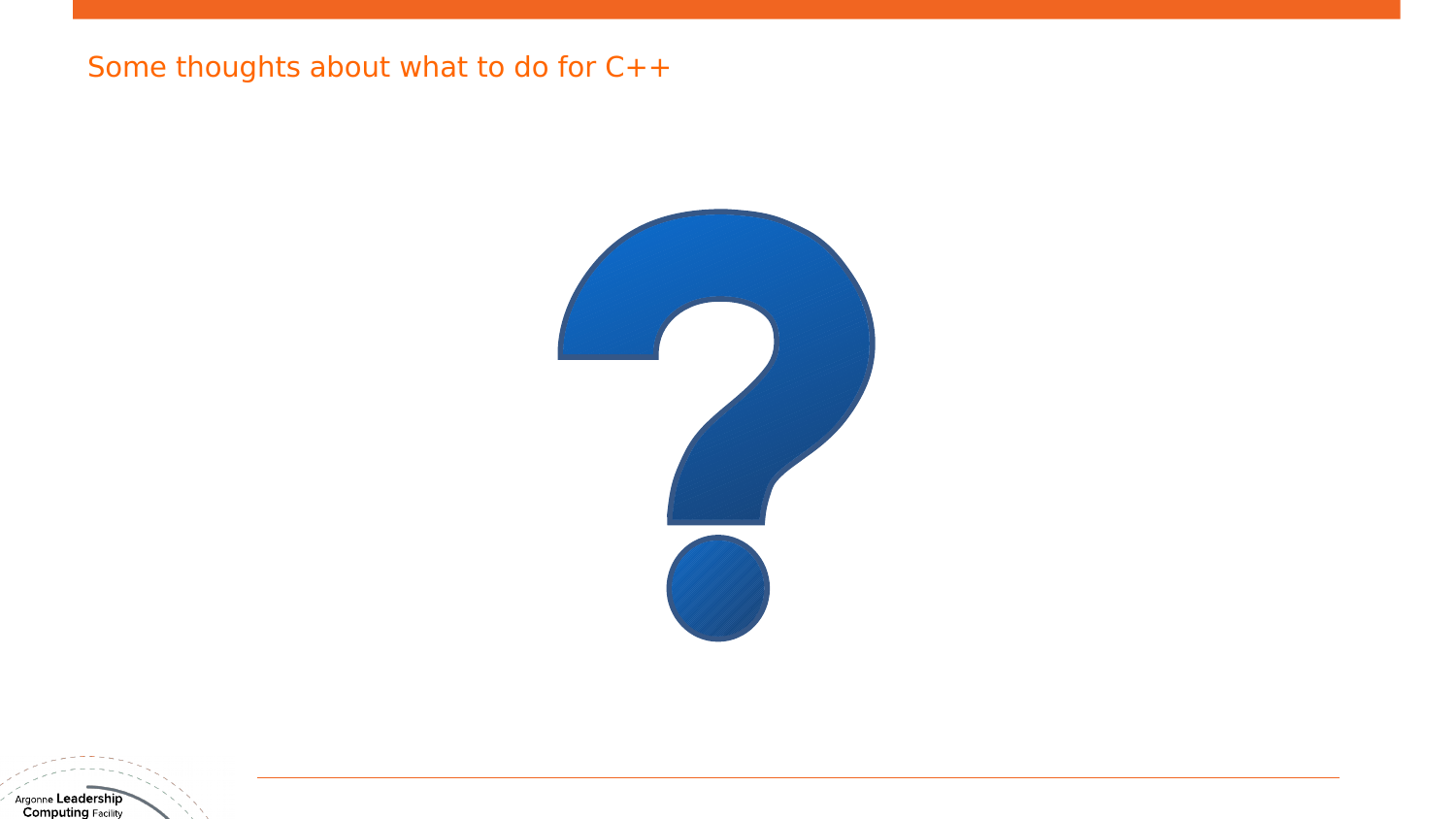### Some thoughts about what to do for C++

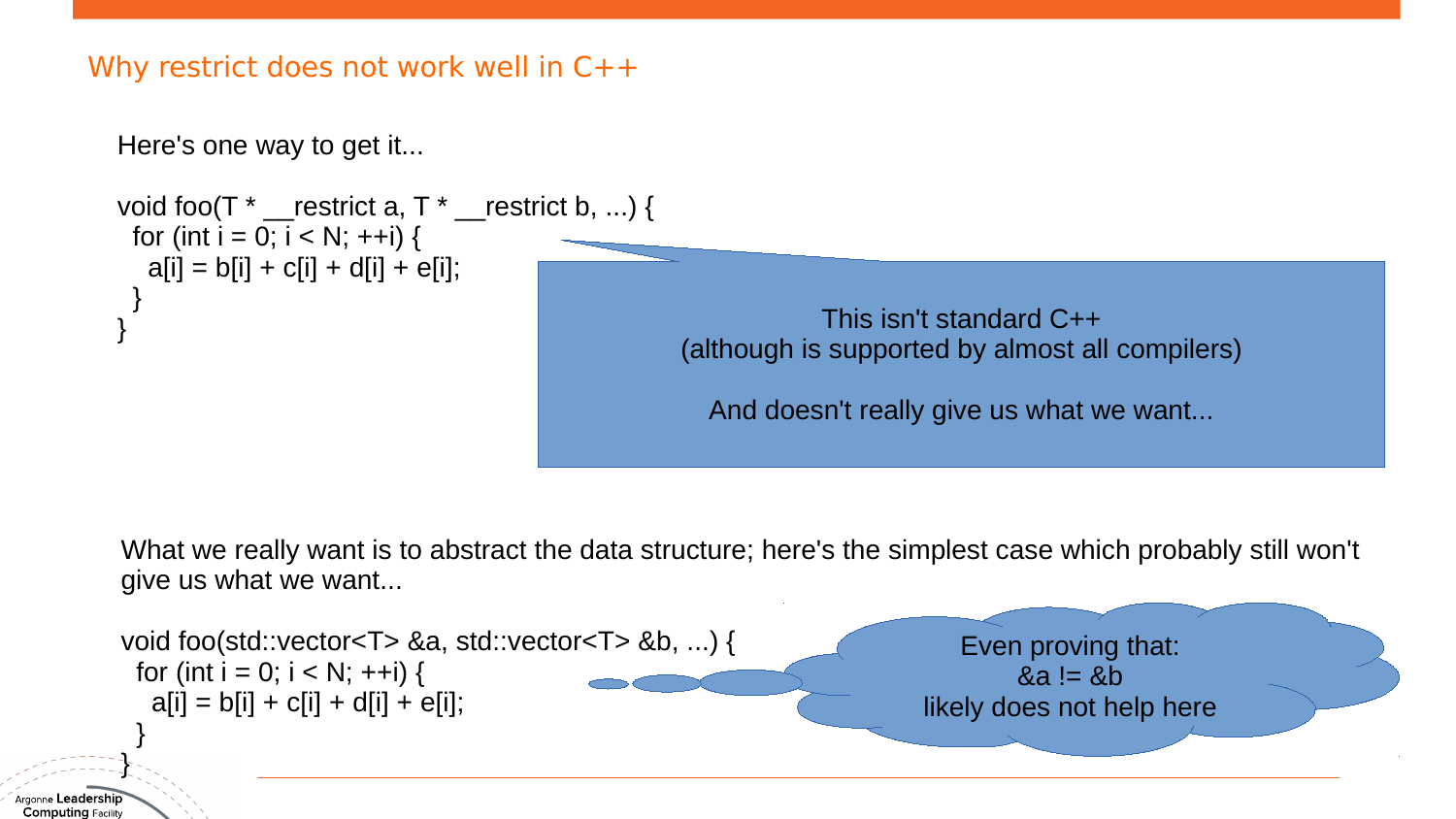

What we really want is to abstract the data structure; here's the simplest case which probably still won't give us what we want...



Argonne **Leadershii**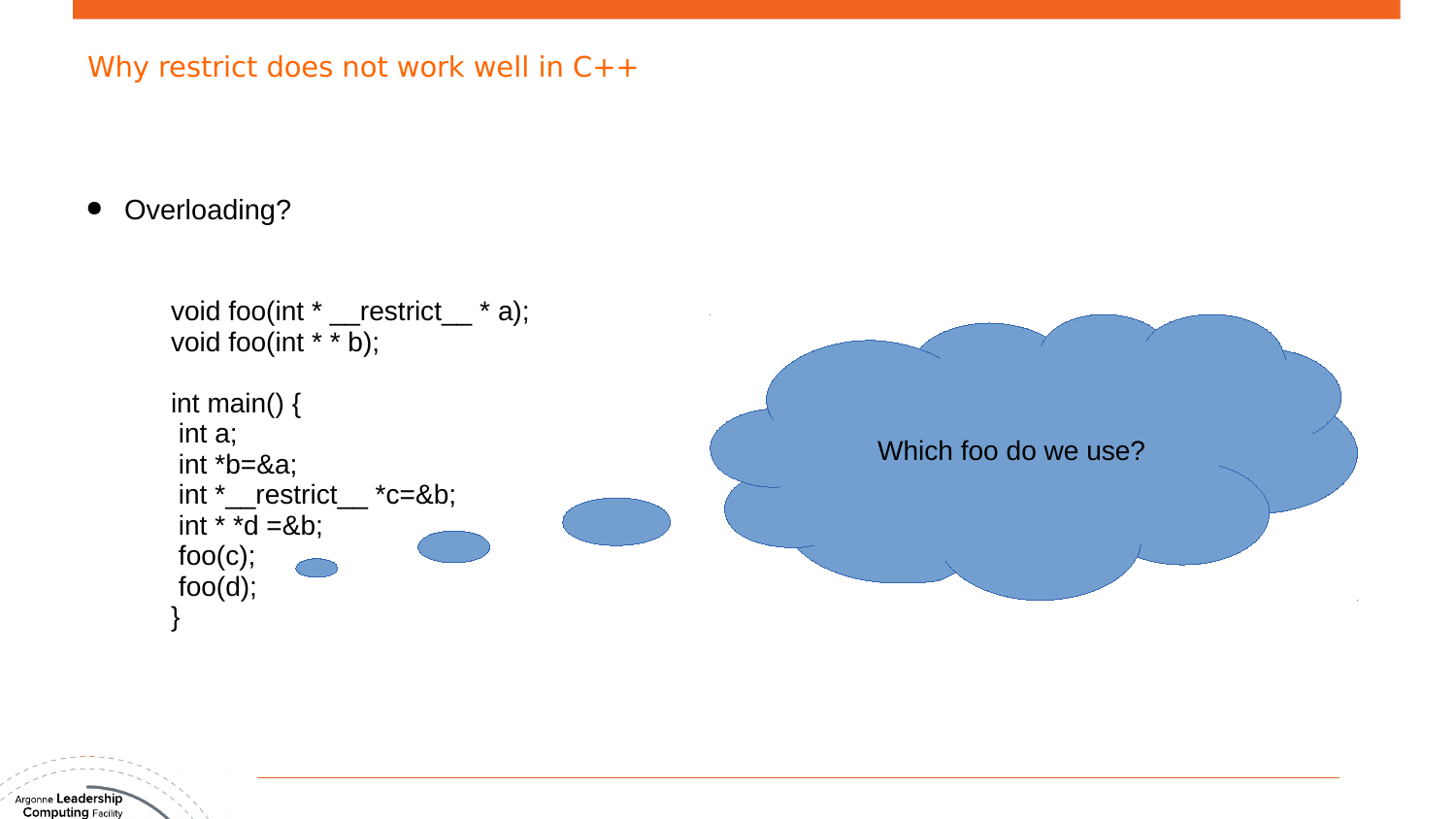● Overloading?



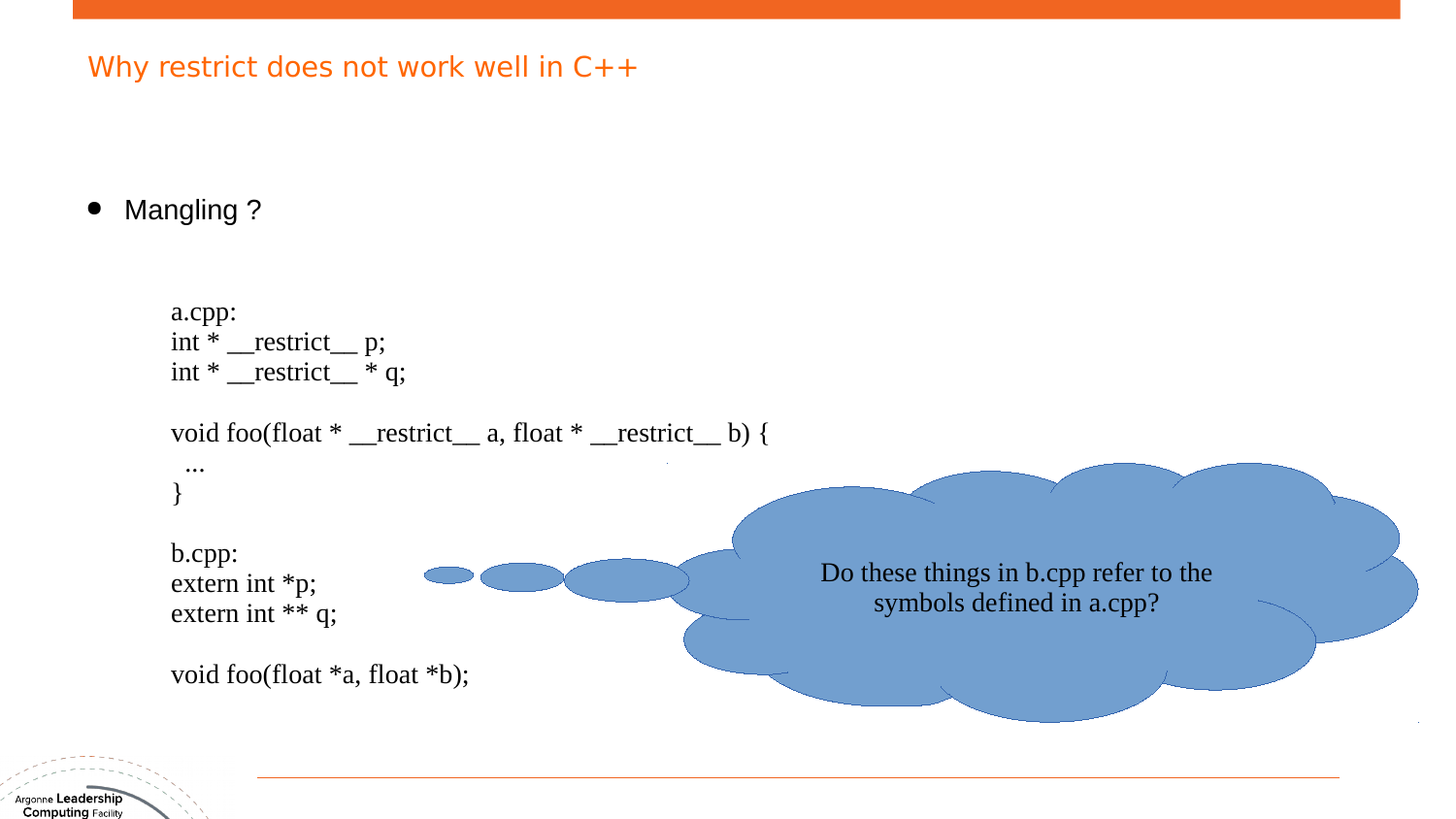**Mangling ?** 

a.cpp:  $int * \underline{\hspace{1cm}}$  restrict  $\underline{\hspace{1cm}}$  p;  $int * \underline{\hspace{1cm}}$  restrict $\underline{\hspace{1cm}} * q$ ; void foo(float \* \_restrict\_ a, float \* \_restrict\_ b) { ... } b.cpp: extern int \*p; extern int \*\* q; void foo(float \*a, float \*b); Do these things in b.cpp refer to the symbols defined in a.cpp?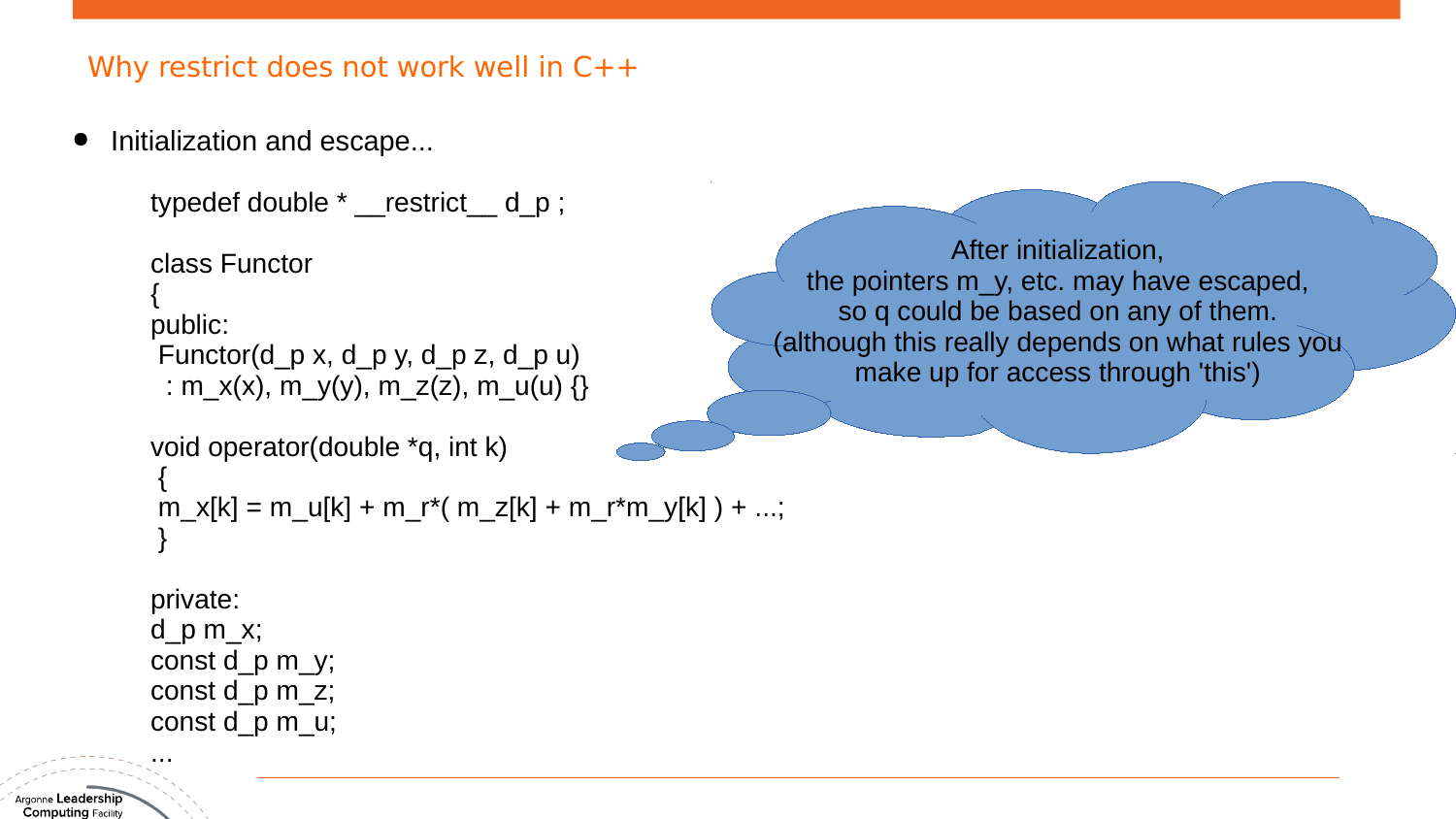Initialization and escape...

```
typedef double * __restrict __ d_p;
```

```
class Functor
{
public:
Functor(d p x, d p y, d p z, d p u)
 : m_x(x), m_y(y), m_z(z), m_u(u) {}
```

```
void operator(double *q, int k)
{
m_x[k] = m_u[k] + m_r*(m_z[k] + m_r*m_y[k]) + ...;}
```
After initialization, the pointers m\_y, etc. may have escaped, so q could be based on any of them. (although this really depends on what rules you make up for access through 'this')

```
private:
```
...

d  $p$  m  $x$ ; const d\_p m\_y; const  $d$   $p$  m $\overline{z}$ ; const d\_p m\_u;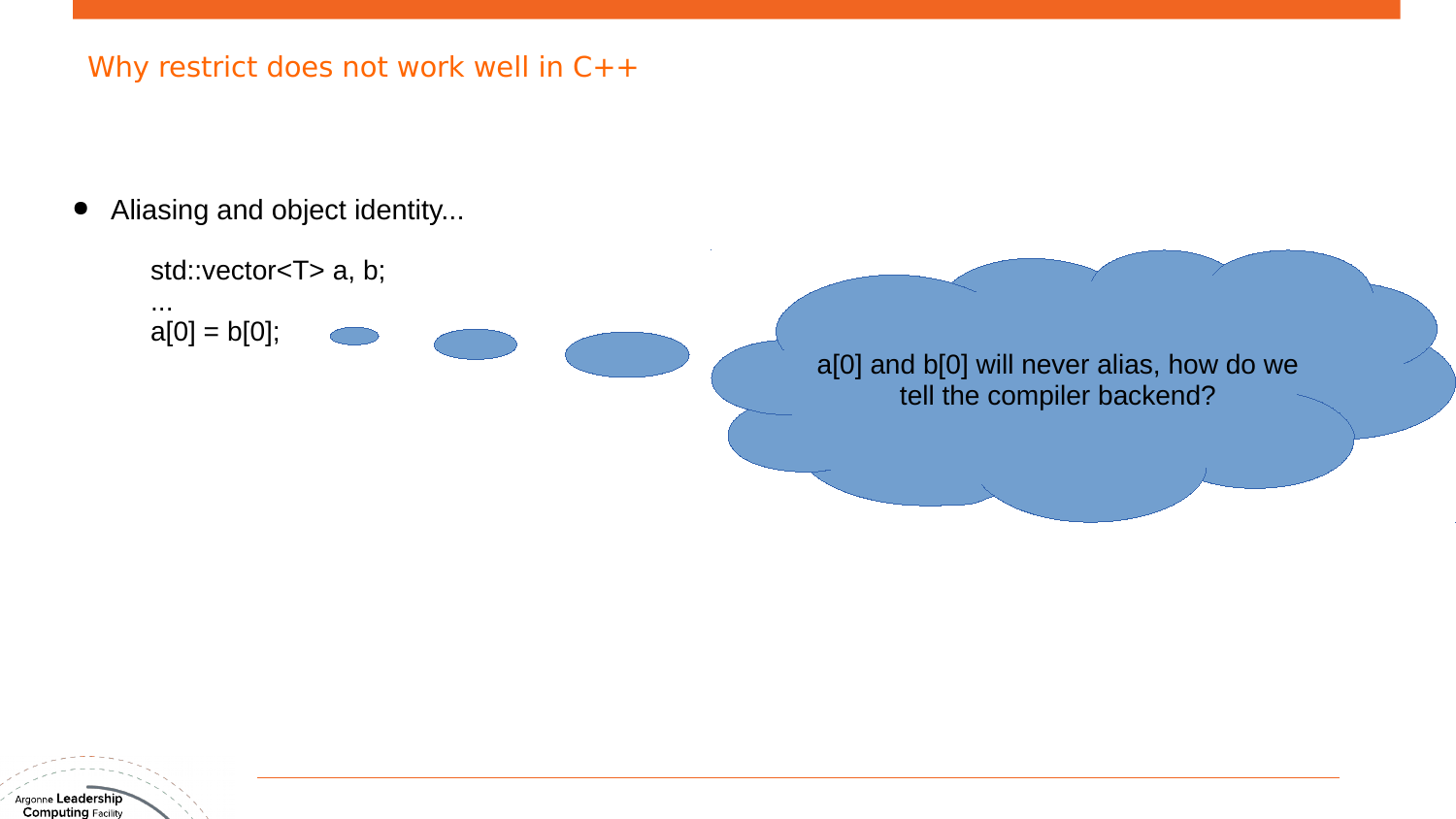Aliasing and object identity...

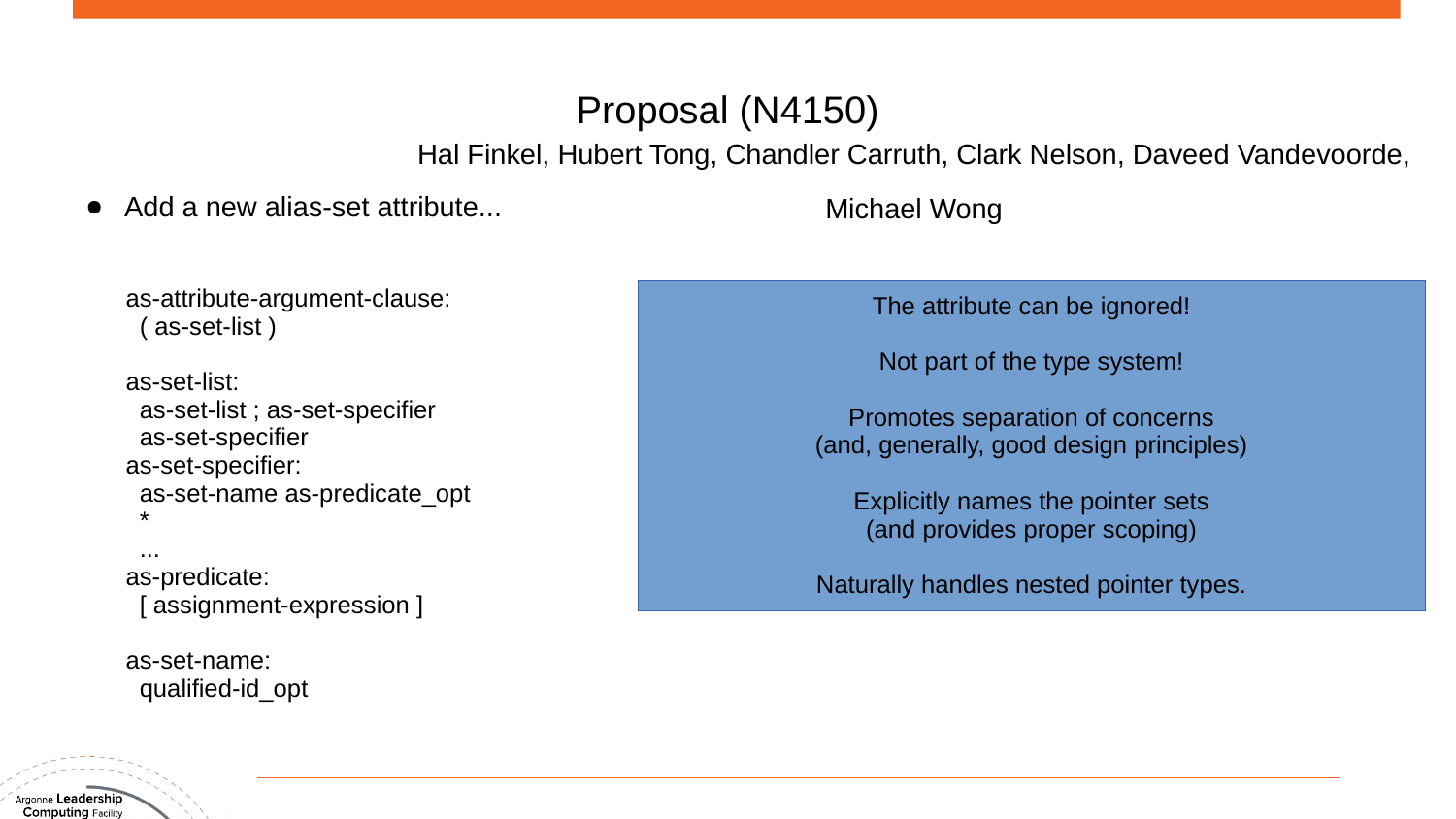# Proposal (N4150)

Hal Finkel, Hubert Tong, Chandler Carruth, Clark Nelson, Daveed Vandevoorde,

#### Add a new alias-set attribute...

Michael Wong

as-attribute-argument-clause: ( as-set-list )

as-set-list: as-set-list ; as-set-specifier as-set-specifier as-set-specifier: as-set-name as-predicate\_opt \*

...

Argonne **Leadership Computing Facility** 

as-predicate: [ assignment-expression ]

as-set-name: qualified-id\_opt The attribute can be ignored!

Not part of the type system!

Promotes separation of concerns (and, generally, good design principles)

Explicitly names the pointer sets (and provides proper scoping)

Naturally handles nested pointer types.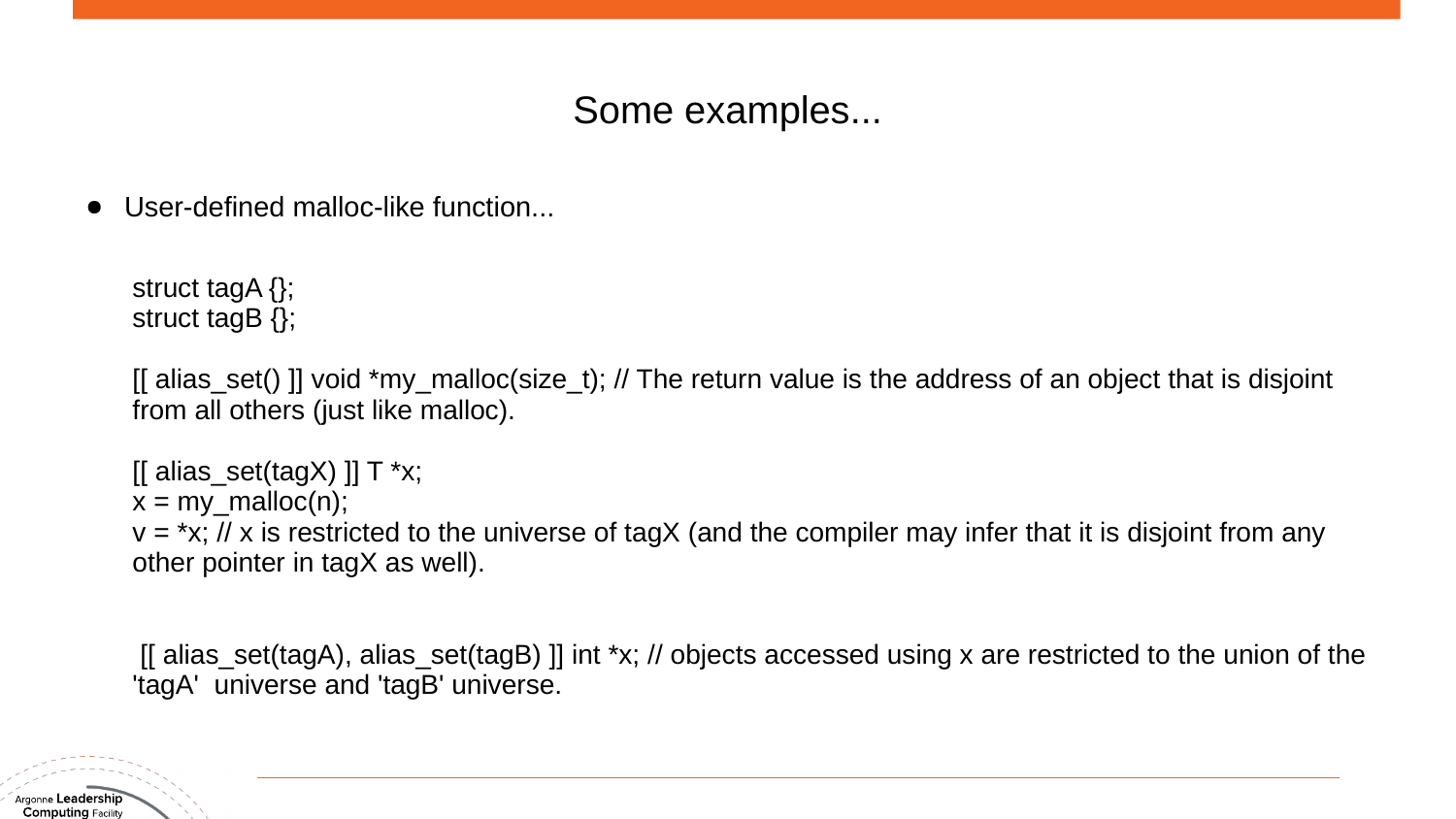## Some examples...

User-defined malloc-like function...

struct tagA {}; struct tagB {};

[[ alias\_set() ]] void \*my\_malloc(size\_t); // The return value is the address of an object that is disjoint from all others (just like malloc).

 $[[$  alias\_set(tagX)  $]]$  T \*x;  $x = my\_malloc(n);$  $v = *x$ ; // x is restricted to the universe of tagX (and the compiler may infer that it is disjoint from any other pointer in tagX as well).

[[ alias\_set(tagA), alias\_set(tagB) ]] int \*x; // objects accessed using x are restricted to the union of the 'tagA' universe and 'tagB' universe.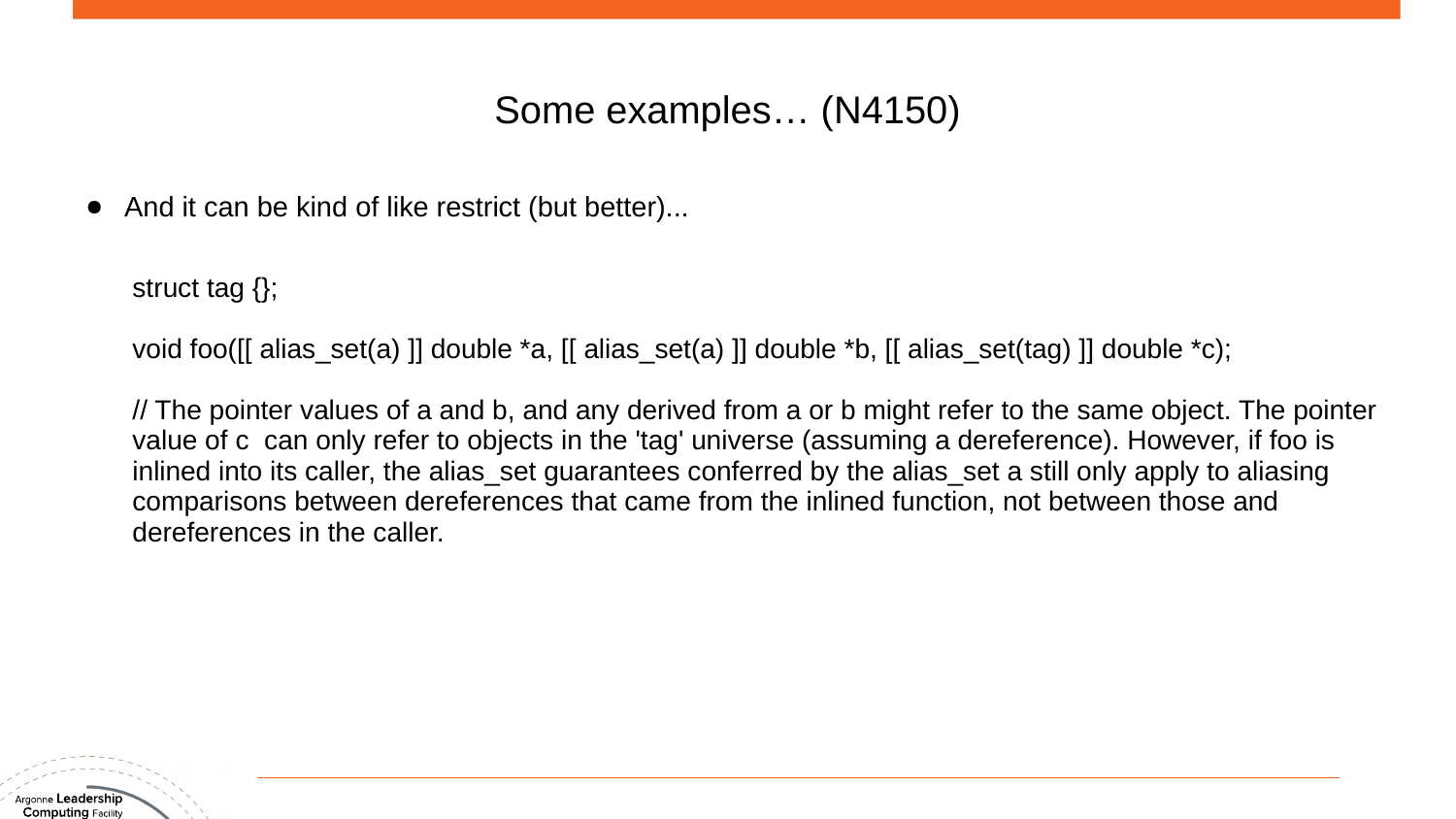## Some examples… (N4150)

● And it can be kind of like restrict (but better)...

struct tag {};

void foo([[ alias\_set(a) ]] double \*a, [[ alias\_set(a) ]] double \*b, [[ alias\_set(tag) ]] double \*c);

// The pointer values of a and b, and any derived from a or b might refer to the same object. The pointer value of c can only refer to objects in the 'tag' universe (assuming a dereference). However, if foo is inlined into its caller, the alias set guarantees conferred by the alias set a still only apply to aliasing comparisons between dereferences that came from the inlined function, not between those and dereferences in the caller.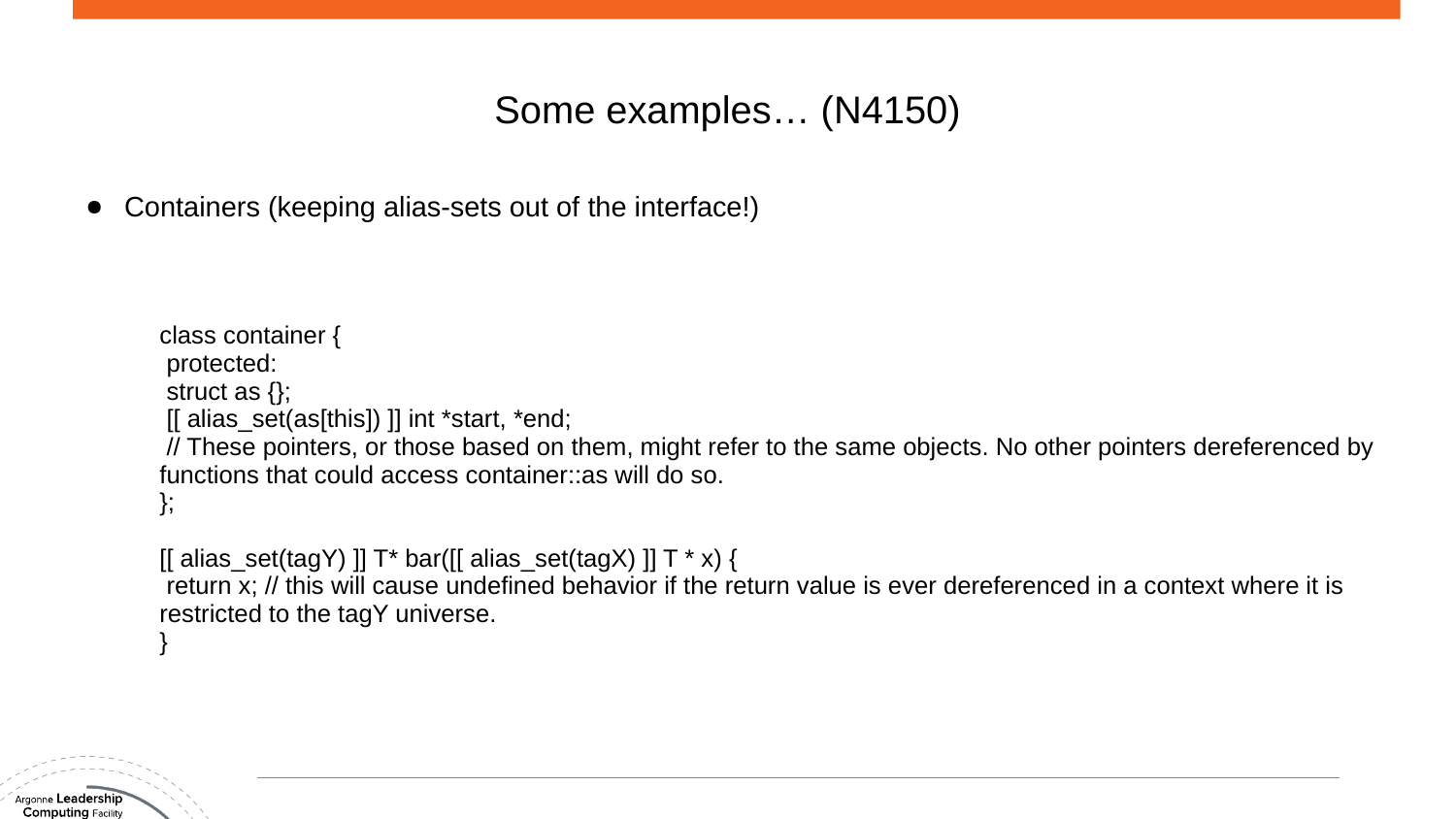## Some examples… (N4150)

Containers (keeping alias-sets out of the interface!)

class container { protected: struct as {};  $\left[\right]$  alias set(as[this]) ]] int \*start, \*end; // These pointers, or those based on them, might refer to the same objects. No other pointers dereferenced by functions that could access container::as will do so. };

[[ alias\_set(tagY) ]]  $T^*$  bar([[ alias\_set(tagX) ]]  $T^*$  x) {

return x; // this will cause undefined behavior if the return value is ever dereferenced in a context where it is restricted to the tagY universe.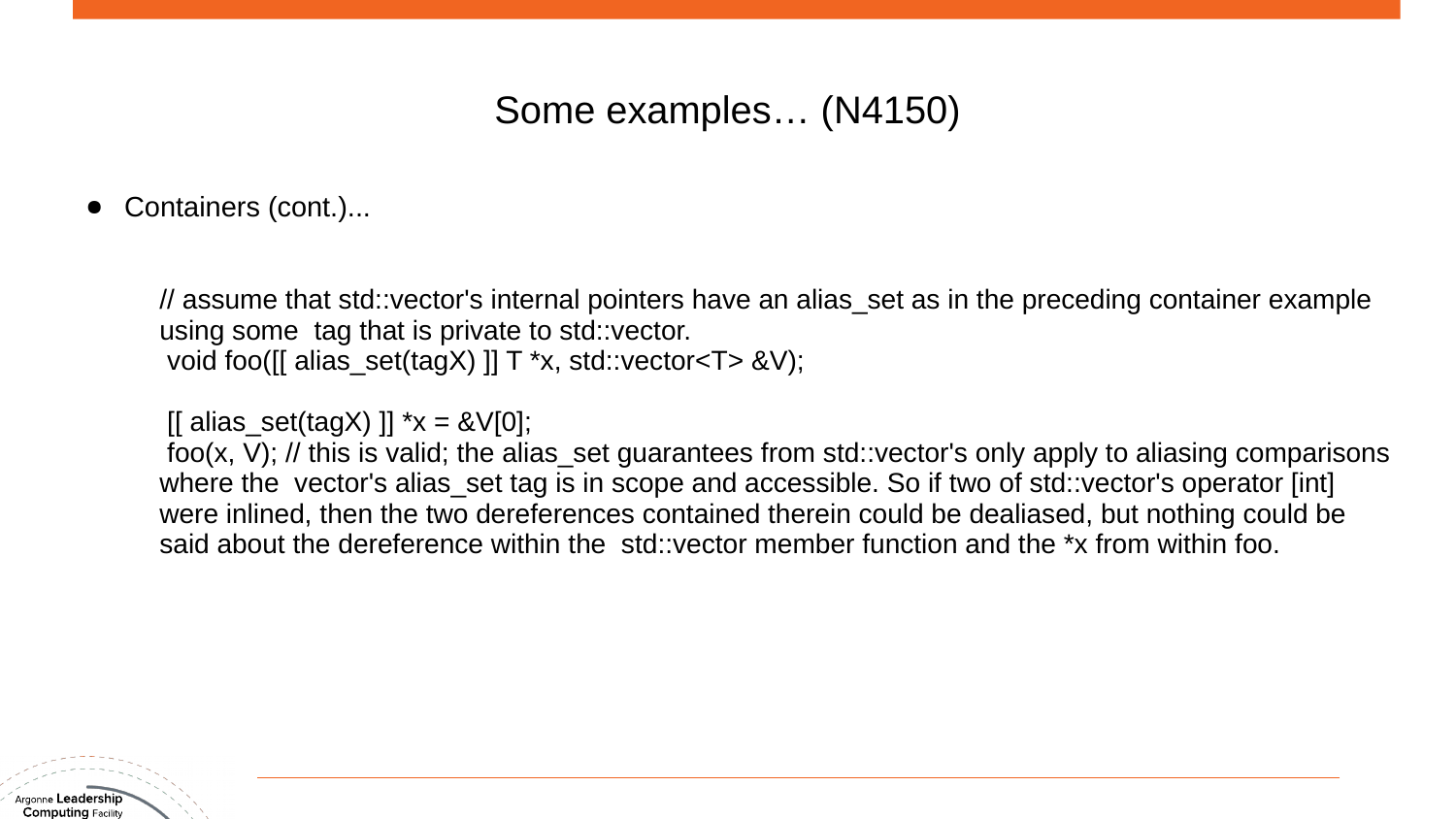## Some examples… (N4150)

Containers (cont.)...

// assume that std::vector's internal pointers have an alias\_set as in the preceding container example using some tag that is private to std::vector. void foo([[ alias\_set(tagX) ]] T \*x, std::vector<T> &V);

 $\left[ \begin{array}{c} \text{[a]}}\text{[a]}}\text{[b]}}\text{[b]}\text{[b]}\text{[c]}}\text{[c]}\text{[c]}\text{[c]}\text{[c]}\text{[c]}\text{[c]}\text{[c]}\text{[c]}\text{[c]}\text{[d]}\text{[c]}\text{[c]}\text{[d]}\text{[c]}\text{[c]}\text{[d]}\text{[e]}\text{[e]}\text{[f]}\text{[f]}\text{[f]}\text{[f]}\text{[g]}\text{[g]}\text{[g]}\text{[g]}\text{[g]}\text{[g]}\text$ 

foo(x, V); // this is valid; the alias set guarantees from std::vector's only apply to aliasing comparisons where the vector's alias set tag is in scope and accessible. So if two of std::vector's operator [int] were inlined, then the two dereferences contained therein could be dealiased, but nothing could be said about the dereference within the std::vector member function and the \*x from within foo.